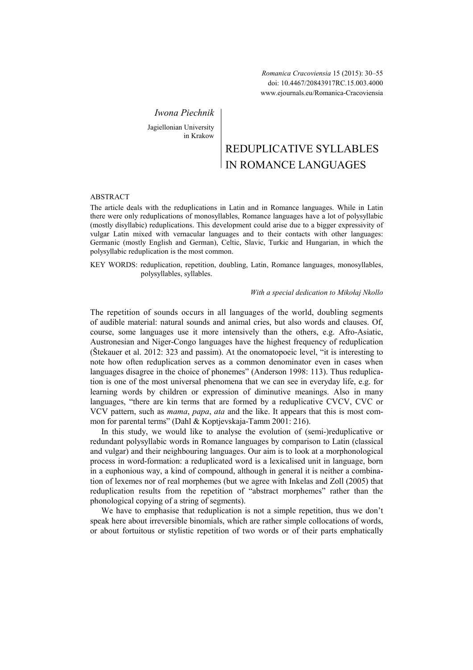*Romanica Cracoviensia* 15 (2015): 30–55 doi: 10.4467/20843917RC.15.003.4000 www.ejournals.eu/Romanica-Cracoviensia

*Iwona Piechnik* 

Jagiellonian University in Krakow

# REDUPLICATIVE SYLLABLES IN ROMANCE LANGUAGES

# ABSTRACT

The article deals with the reduplications in Latin and in Romance languages. While in Latin there were only reduplications of monosyllables, Romance languages have a lot of polysyllabic (mostly disyllabic) reduplications. This development could arise due to a bigger expressivity of vulgar Latin mixed with vernacular languages and to their contacts with other languages: Germanic (mostly English and German), Celtic, Slavic, Turkic and Hungarian, in which the polysyllabic reduplication is the most common.

KEY WORDS: reduplication, repetition, doubling, Latin, Romance languages, monosyllables, polysyllables, syllables.

# *With a special dedication to Mikołaj kollo*

The repetition of sounds occurs in all languages of the world, doubling segments of audible material: natural sounds and animal cries, but also words and clauses. Of, course, some languages use it more intensively than the others, e.g. Afro-Asiatic, Austronesian and Niger-Congo languages have the highest frequency of reduplication (Štekauer et al. 2012: 323 and passim). At the onomatopoeic level, "it is interesting to note how often reduplication serves as a common denominator even in cases when languages disagree in the choice of phonemes" (Anderson 1998: 113). Thus reduplication is one of the most universal phenomena that we can see in everyday life, e.g. for learning words by children or expression of diminutive meanings. Also in many languages, "there are kin terms that are formed by a reduplicative CVCV, CVC or VCV pattern, such as *mama*, *papa*, *ata* and the like. It appears that this is most common for parental terms" (Dahl & Koptjevskaja-Tamm 2001: 216).

In this study, we would like to analyse the evolution of (semi-)reduplicative or redundant polysyllabic words in Romance languages by comparison to Latin (classical and vulgar) and their neighbouring languages. Our aim is to look at a morphonological process in word-formation: a reduplicated word is a lexicalised unit in language, born in a euphonious way, a kind of compound, although in general it is neither a combination of lexemes nor of real morphemes (but we agree with Inkelas and Zoll (2005) that reduplication results from the repetition of "abstract morphemes" rather than the phonological copying of a string of segments).

We have to emphasise that reduplication is not a simple repetition, thus we don't speak here about irreversible binomials, which are rather simple collocations of words, or about fortuitous or stylistic repetition of two words or of their parts emphatically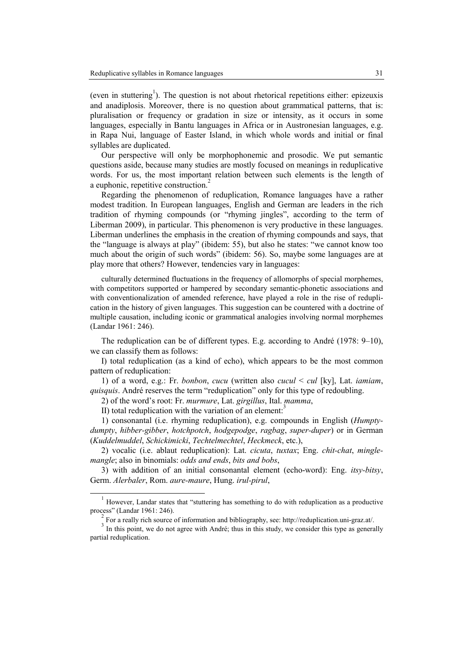(even in stuttering<sup>1</sup>). The question is not about rhetorical repetitions either: epizeuxis and anadiplosis. Moreover, there is no question about grammatical patterns, that is: pluralisation or frequency or gradation in size or intensity, as it occurs in some languages, especially in Bantu languages in Africa or in Austronesian languages, e.g. in Rapa Nui, language of Easter Island, in which whole words and initial or final syllables are duplicated.

Our perspective will only be morphophonemic and prosodic. We put semantic questions aside, because many studies are mostly focused on meanings in reduplicative words. For us, the most important relation between such elements is the length of a euphonic, repetitive construction.<sup>2</sup>

Regarding the phenomenon of reduplication, Romance languages have a rather modest tradition. In European languages, English and German are leaders in the rich tradition of rhyming compounds (or "rhyming jingles", according to the term of Liberman 2009), in particular. This phenomenon is very productive in these languages. Liberman underlines the emphasis in the creation of rhyming compounds and says, that the "language is always at play" (ibidem: 55), but also he states: "we cannot know too much about the origin of such words" (ibidem: 56). So, maybe some languages are at play more that others? However, tendencies vary in languages:

culturally determined fluctuations in the frequency of allomorphs of special morphemes, with competitors supported or hampered by secondary semantic-phonetic associations and with conventionalization of amended reference, have played a role in the rise of reduplication in the history of given languages. This suggestion can be countered with a doctrine of multiple causation, including iconic or grammatical analogies involving normal morphemes (Landar 1961: 246).

The reduplication can be of different types. E.g. according to André (1978: 9–10), we can classify them as follows:

I) total reduplication (as a kind of echo), which appears to be the most common pattern of reduplication:

1) of a word, e.g.: Fr. *bonbon*, *cucu* (written also *cucul* < *cul* [ky], Lat. *iamiam*, *quisquis*. André reserves the term "reduplication" only for this type of redoubling.

2) of the word's root: Fr. *murmure*, Lat. *girgillus*, Ital. *mamma*,

II) total reduplication with the variation of an element:

 $\overline{a}$ 

1) consonantal (i.e. rhyming reduplication), e.g. compounds in English (*Humptydumpty*, *hibber-gibber*, *hotchpotch*, *hodgepodge*, *ragbag*, *super-duper*) or in German (*Kuddelmuddel*, *Schickimicki*, *Techtelmechtel*, *Heckmeck*, etc.),

2) vocalic (i.e. ablaut reduplication): Lat. *cicuta*, *tuxtax*; Eng. *chit-chat*, *minglemangle*; also in binomials: *odds and ends*, *bits and bobs*,

3) with addition of an initial consonantal element (echo-word): Eng. *itsy-bitsy*, Germ. *Alerbaler*, Rom. *aure-maure*, Hung. *irul-pirul*,

<sup>1</sup> However, Landar states that "stuttering has something to do with reduplication as a productive process" (Landar 1961: 246).

<sup>&</sup>lt;sup>2</sup> For a really rich source of information and bibliography, see: http://reduplication.uni-graz.at/.

 $3 \text{ In this point, we do not agree with André; thus in this study, we consider this type as generally.}$ partial reduplication.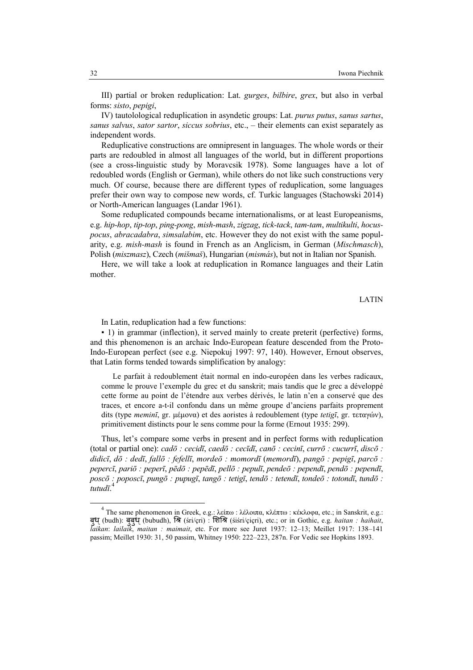III) partial or broken reduplication: Lat. *gurges*, *bilbire*, *grex*, but also in verbal forms: *sisto*, *pepigi*,

IV) tautolological reduplication in asyndetic groups: Lat. *purus putus*, *sanus sartus*, *sanus salvus*, *sator sartor*, *siccus sobrius*, etc., – their elements can exist separately as independent words.

Reduplicative constructions are omnipresent in languages. The whole words or their parts are redoubled in almost all languages of the world, but in different proportions (see a cross-linguistic study by Moravcsik 1978). Some languages have a lot of redoubled words (English or German), while others do not like such constructions very much. Of course, because there are different types of reduplication, some languages prefer their own way to compose new words, cf. Turkic languages (Stachowski 2014) or North-American languages (Landar 1961).

Some reduplicated compounds became internationalisms, or at least Europeanisms, e.g. *hip-hop*, *tip-top*, *ping-pong*, *mish-mash*, *zigzag*, *tick-tack*, *tam-tam*, *multikulti*, *hocuspocus*, *abracadabra*, *simsalabim*, etc. However they do not exist with the same popularity, e.g. *mish-mash* is found in French as an Anglicism, in German (*Mischmasch*), Polish (*miszmasz*), Czech (*mišmaš*), Hungarian (*mismás*), but not in Italian nor Spanish.

Here, we will take a look at reduplication in Romance languages and their Latin mother.

LATIN

In Latin, reduplication had a few functions:

▪ 1) in grammar (inflection), it served mainly to create preterit (perfective) forms, and this phenomenon is an archaic Indo-European feature descended from the Proto-Indo-European perfect (see e.g. Niepokuj 1997: 97, 140). However, Ernout observes, that Latin forms tended towards simplification by analogy:

Le parfait à redoublement était normal en indo-européen dans les verbes radicaux, comme le prouve l'exemple du grec et du sanskrit; mais tandis que le grec a développé cette forme au point de l'étendre aux verbes dérivés, le latin n'en a conservé que des traces, et encore a-t-il confondu dans un même groupe d'anciens parfaits proprement dits (type *meminī*, gr. µέµονα) et des aoristes à redoublement (type *tetigī*, gr. τεταγών), primitivement distincts pour le sens comme pour la forme (Ernout 1935: 299).

Thus, let's compare some verbs in present and in perfect forms with reduplication (total or partial one): *cadō : cecidī*, *caedō : cecīdī*, *canō : cecinī*, *currō : cucurrī*, *discō : didicī*, *dō : dedī*, *fallō : fefellī*, *mordeō : momordī* (*memordī*), *pangō : pepigī*, *parcō : pepercī*, *pariō : peperī*, *pēdō : pepēdī*, *pellō : pepulī*, *pendeō : pependī*, *pendō : pependī*, *poscō : poposcī*, *pungō : pupugī*, *tangō : tetigī*, *tendō : tetendī*, *tondeō : totondī*, *tundō :*  4 *tutudī*.

 $\overline{a}$ 

<sup>&</sup>lt;sup>4</sup> The same phenomenon in Greek, e.g.: λείπω : λέλοιπα, κλέπτω : κέκλοφα, etc.; in Sanskrit, e.g.: बुध (budh): बुबुध (bubudh), श्रि (śri/cri) : शिश्रि (śiśri/cicri), etc.; or in Gothic, e.g. *haitan : haihait*, *laikan*: *lailaik*, *maitan : maimait*, etc. For more see Juret 1937: 12–13; Meillet 1917: 138–141 passim; Meillet 1930: 31, 50 passim, Whitney 1950: 222–223, 287n. For Vedic see Hopkins 1893.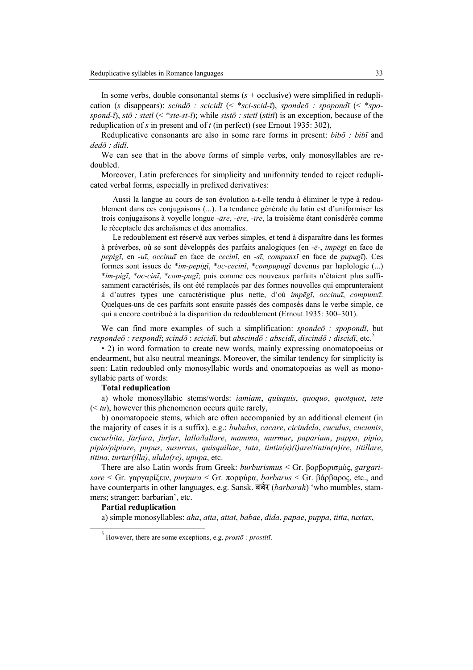In some verbs, double consonantal stems (*s* + occlusive) were simplified in reduplication (*s* disappears): *scindō : scicidī* (< \**sci-scid-ī*), *spondeō : spopondī* (< \**spospond-ī*), *stō : stetī* (< \**ste-st-ī*); while *sistō : stetī* (*stitī*) is an exception, because of the reduplication of *s* in present and of *t* (in perfect) (see Ernout 1935: 302),

Reduplicative consonants are also in some rare forms in present: *bibō : bibī* and *dedō : didī*.

We can see that in the above forms of simple verbs, only monosyllables are redoubled.

Moreover, Latin preferences for simplicity and uniformity tended to reject reduplicated verbal forms, especially in prefixed derivatives:

Aussi la langue au cours de son évolution a-t-elle tendu à éliminer le type à redoublement dans ces conjugaisons (...). La tendance générale du latin est d'uniformiser les trois conjugaisons à voyelle longue *-āre*, *-ēre*, *-īre*, la troisième étant conisdérée comme le réceptacle des archaïsmes et des anomalies.

Le redoublement est réservé aux verbes simples, et tend à disparaître dans les formes à préverbes, où se sont développés des parfaits analogiques (en *-ē-*, *impēgī* en face de *pepigī*, en *-uī*, *occinuī* en face de *cecinī*, en *-sī*, *compunxī* en face de *pupugī*). Ces formes sont issues de \**im-pepigī*, \**oc-cecinī*, \**compupugī* devenus par haplologie (...) \**im-pigī*, \**oc-cinī*, \**com-pugī*; puis comme ces nouveaux parfaits n'étaient plus suffisamment caractérisés, ils ont été remplacés par des formes nouvelles qui emprunteraient à d'autres types une caractéristique plus nette, d'où *impēgī*, *occinuī*, *compunxī*. Quelques-uns de ces parfaits sont ensuite passés des composés dans le verbe simple, ce qui a encore contribué à la disparition du redoublement (Ernout 1935: 300–301).

We can find more examples of such a simplification: *spondeō : spopondī*, but *respondeō : respondī*; *scindō* : *scicidī*, but *abscindō : abscidī*, *discindō : discidī*, etc.<sup>5</sup>

▪ 2) in word formation to create new words, mainly expressing onomatopoeias or endearment, but also neutral meanings. Moreover, the similar tendency for simplicity is seen: Latin redoubled only monosyllabic words and onomatopoeias as well as monosyllabic parts of words:

## **Total reduplication**

a) whole monosyllabic stems/words: *iamiam*, *quisquis*, *quoquo*, *quotquot*, *tete*  $( $tu$ ), however this phenomenon occurs quite rarely,$ 

b) onomatopoeic stems, which are often accompanied by an additional element (in the majority of cases it is a suffix), e.g.: *bubulus*, *cacare*, *cicindela*, *cuculus*, *cucumis*, *cucurbita*, *farfara*, *furfur*, *lallo/lallare*, *mamma*, *murmur*, *paparium*, *pappa*, *pipio*, *pipio/pipiare*, *pupus*, *susurrus*, *quisquiliae*, *tata*, *tintin(n)(i)are*/*tintin(n)ire*, *titillare*, *titina*, *turtur(illa)*, *ulula(re)*, *upupa*, etc.

There are also Latin words from Greek: *burburismus* < Gr. βορβορισµός, *gargarisare* < Gr. γαργαρίξειν, *purpura* < Gr. πορφύρα, *barbarus* < Gr. βάρβαρος, etc., and have counterparts in other languages, e.g. Sansk. बर्बर (*barbarah*) 'who mumbles, stammers; stranger; barbarian', etc.

### **Partial reduplication**

 $\overline{a}$ 

a) simple monosyllables: *aha*, *atta*, *attat*, *babae*, *dida*, *papae*, *puppa*, *titta*, *tuxtax*,

 $<sup>5</sup>$  However, there are some exceptions, e.g. *prosto* : *prostiti*.</sup>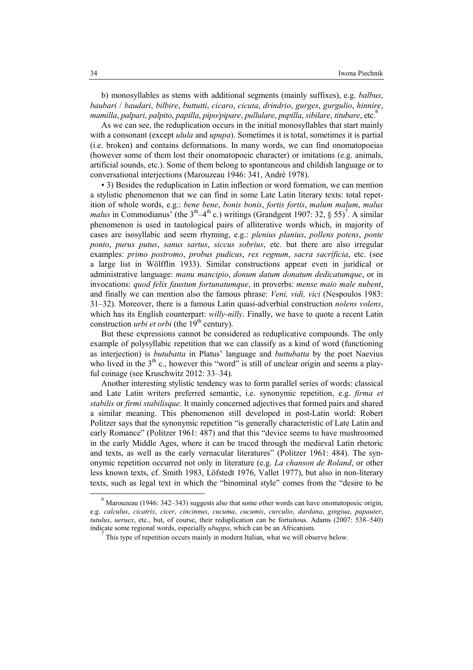b) monosyllables as stems with additional segments (mainly suffixes), e.g. *balbus*, *baubari* / *baudari*, *bilbire*, *buttutti*, *cicaro*, *cicuta*, *drindrio*, *gurges*, *gurgulio*, *hinnire*, *mamilla*, *palpari*, *palpito*, *papilla*, *pipo/pipare*, *pullulare*, *pupilla*, *sibilare*, *titubare*, etc.<sup>6</sup>

As we can see, the reduplication occurs in the initial monosyllables that start mainly with a consonant (except *ulula* and *upupa*). Sometimes it is total, sometimes it is partial (i.e. broken) and contains deformations. In many words, we can find onomatopoeias (however some of them lost their onomatopoeic character) or imitations (e.g. animals, artificial sounds, etc.). Some of them belong to spontaneous and childish language or to conversational interjections (Marouzeau 1946: 341, André 1978).

▪ 3) Besides the reduplication in Latin inflection or word formation, we can mention a stylistic phenomenon that we can find in some Late Latin literary texts: total repetition of whole words, e.g.: *bene bene*, *bonis bonis*, *fortis fortis*, *malum malum*, *malus malus* in Commodianus' (the  $3<sup>th</sup>-4<sup>th</sup>$  c.) writings (Grandgent 1907: 32, § 55)<sup>7</sup>. A similar phenomenon is used in tautological pairs of alliterative words which, in majority of cases are isosyllabic and seem rhyming, e.g.: *plenius planius*, *pollens potens*, *ponte ponto*, *purus putus*, *sanus sartus*, *siccus sobrius*, etc. but there are also irregular examples: *primo postromo*, *probus pudicus*, *rex regnum*, *sacra sacrificia*, etc. (see a large list in Wölfflin 1933). Similar constructions appear even in juridical or administrative language: *manu mancipio*, *donum datum donatum dedicatumque*, or in invocations: *quod felix faustum fortunatumque*, in proverbs: *mense maio male nubent*, and finally we can mention also the famous phrase: *Veni, vidi, vici* (Nespoulos 1983: 31–32). Moreover, there is a famous Latin quasi-adverbial construction *nolens volens*, which has its English counterpart: *willy-nilly*. Finally, we have to quote a recent Latin construction *urbi et orbi* (the 19<sup>th</sup> century).

But these expressions cannot be considered as reduplicative compounds. The only example of polysyllabic repetition that we can classify as a kind of word (functioning as interjection) is *butubatta* in Platus' language and *buttubatta* by the poet Naevius who lived in the  $3<sup>th</sup>$  c., however this "word" is still of unclear origin and seems a playful coinage (see Kruschwitz 2012: 33–34).

Another interesting stylistic tendency was to form parallel series of words: classical and Late Latin writers preferred semantic, i.e. synonymic repetition, e.g. *firma et stabilis* or *firmi stabilisque*. It mainly concerned adjectives that formed pairs and shared a similar meaning. This phenomenon still developed in post-Latin world: Robert Politzer says that the synonymic repetition "is generally characteristic of Late Latin and early Romance" (Politzer 1961: 487) and that this "device seems to have mushroomed in the early Middle Ages, where it can be traced through the medieval Latin rhetoric and texts, as well as the early vernacular literatures" (Politzer 1961: 484). The synonymic repetition occurred not only in literature (e.g. *La chanson de Roland*, or other less known texts, cf. Smith 1983, Löfstedt 1976, Vallet 1977), but also in non-literary texts, such as legal text in which the "binominal style" comes from the "desire to be

l

 $<sup>6</sup>$  Marouzeau (1946: 342–343) suggests also that some other words can have onomatopoeic origin,</sup> e.g. *calculus*, *cicatrix*, *cicer*, *cincinnus*, *cucuma*, *cucumis*, *curculio*, *dardana*, *gingiua*, *papauter*, *tutulus*, *ueruex*, etc., but, of course, their reduplication can be fortuitous. Adams (2007: 538–540) indicate some regional words, especially *ubuppa*, which can be an Africanism. 7

This type of repetition occurs mainly in modern Italian, what we will observe below.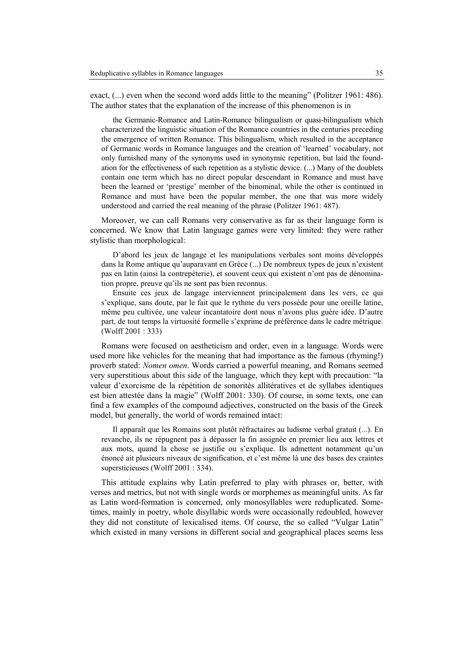exact, (...) even when the second word adds little to the meaning" (Politzer 1961: 486). The author states that the explanation of the increase of this phenomenon is in

the Germanic-Romance and Latin-Romance bilingualism or quasi-bilingualism which characterized the linguistic situation of the Romance countries in the centuries preceding the emergence of written Romance. This bilingualism, which resulted in the acceptance of Germanic words in Romance languages and the creation of 'learned' vocabulary, not only furnished many of the synonyms used in synonymic repetition, but laid the foundation for the effectiveness of such repetition as a stylistic device. (...) Many of the doublets contain one term which has no direct popular descendant in Romance and must have been the learned or 'prestige' member of the binominal, while the other is continued in Romance and must have been the popular member, the one that was more widely understood and carried the real meaning of the phrase (Politzer 1961: 487).

Moreover, we can call Romans very conservative as far as their language form is concerned. We know that Latin language games were very limited: they were rather stylistic than morphological:

D'abord les jeux de langage et les manipulations verbales sont moins développés dans la Rome antique qu'auparavant en Grèce (...) De nombreux types de jeux n'existent pas en latin (ainsi la contrepèterie), et souvent ceux qui existent n'ont pas de dénomination propre, preuve qu'ils ne sont pas bien reconnus.

Ensuite ces jeux de langage interviennent principalement dans les vers, ce qui s'explique, sans doute, par le fait que le rythme du vers possède pour une oreille latine, même peu cultivée, une valeur incantatoire dont nous n'avons plus guère idée. D'autre part, de tout temps la virtuosité formelle s'exprime de préférence dans le cadre métrique. (Wolff 2001 : 333)

Romans were focused on aestheticism and order, even in a language. Words were used more like vehicles for the meaning that had importance as the famous (rhyming!) proverb stated: *Nomen omen*. Words carried a powerful meaning, and Romans seemed very superstitious about this side of the language, which they kept with precaution: "la valeur d'exorcisme de la répétition de sonorités allitératives et de syllabes identiques est bien attestée dans la magie" (Wolff 2001: 330). Of course, in some texts, one can find a few examples of the compound adjectives, constructed on the basis of the Greek model, but generally, the world of words remained intact:

Il apparaît que les Romains sont plutôt réfractaires au ludisme verbal gratuit (...). En revanche, ils ne répugnent pas à dépasser la fin assignée en premier lieu aux lettres et aux mots, quand la chose se justifie ou s'explique. Ils admettent notamment qu'un énoncé ait plusieurs niveaux de signification, et c'est même là une des bases des craintes supersticieuses (Wolff 2001 : 334).

This attitude explains why Latin preferred to play with phrases or, better, with verses and metrics, but not with single words or morphemes as meaningful units. As far as Latin word-formation is concerned, only monosyllables were reduplicated. Sometimes, mainly in poetry, whole disyllabic words were occasionally redoubled, however they did not constitute of lexicalised items. Of course, the so called "Vulgar Latin" which existed in many versions in different social and geographical places seems less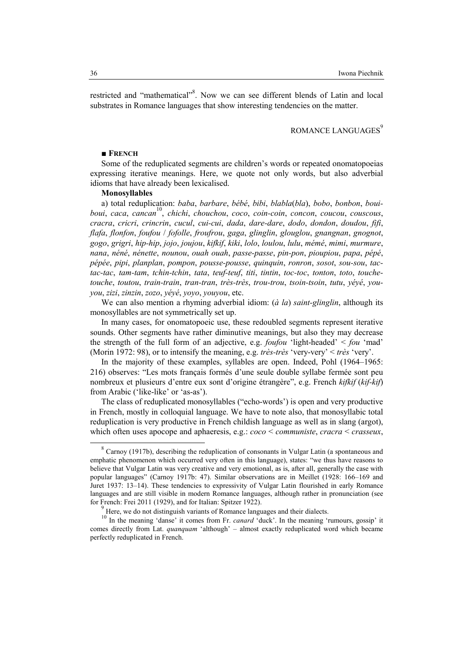restricted and "mathematical"<sup>8</sup>. Now we can see different blends of Latin and local substrates in Romance languages that show interesting tendencies on the matter.

# ROMANCE LANGUAGES<sup>9</sup>

## ■ **FRECH**

Some of the reduplicated segments are children's words or repeated onomatopoeias expressing iterative meanings. Here, we quote not only words, but also adverbial idioms that have already been lexicalised.

### **Monosyllables**

a) total reduplication: *baba*, *barbare*, *bébé*, *bibi*, *blabla*(*bla*), *bobo*, *bonbon*, *bouiboui*, *caca*, *cancan* 10 , *chichi*, *chouchou*, *coco*, *coin-coin*, *concon*, *coucou*, *couscous*, *cracra*, *cricri*, *crincrin*, *cucul*, *cui-cui*, *dada*, *dare-dare*, *dodo*, *dondon*, *doudou*, *fifi*, *flafa*, *flonfon*, *foufou* / *fofolle*, *froufrou*, *gaga*, *glinglin*, *glouglou*, *gnangnan*, *gnognot*, *gogo*, *grigri*, *hip-hip*, *jojo*, *joujou*, *kifkif*, *kiki*, *lolo*, *loulou*, *lulu*, *mémé*, *mimi*, *murmure*, *nana*, *néné*, *nénette*, *nounou*, *ouah ouah*, *passe-passe*, *pin-pon*, *pioupiou*, *papa*, *pépé*, *pépée*, *pipi*, *planplan*, *pompon*, *pousse-pousse*, *quinquin*, *ronron*, *sosot*, *sou-sou*, *tactac-tac*, *tam-tam*, *tchin-tchin*, *tata*, *teuf-teuf*, *titi*, *tintin*, *toc-toc*, *tonton*, *toto*, *touchetouche*, *toutou*, *train-train*, *tran-tran*, *très-très*, *trou-trou*, *tsoin-tsoin*, *tutu*, *yéyé*, *youyou*, *zizi*, *zinzin*, *zozo*, *yéyé*, *yoyo*, *youyou*, etc.

We can also mention a rhyming adverbial idiom: (*à la*) *saint-glinglin*, although its monosyllables are not symmetrically set up.

In many cases, for onomatopoeic use, these redoubled segments represent iterative sounds. Other segments have rather diminutive meanings, but also they may decrease the strength of the full form of an adjective, e.g. *foufou* 'light-headed' < *fou* 'mad' (Morin 1972: 98), or to intensify the meaning, e.g. *très-très* 'very-very' < *très* 'very'.

In the majority of these examples, syllables are open. Indeed, Pohl (1964–1965: 216) observes: "Les mots français formés d'une seule double syllabe fermée sont peu nombreux et plusieurs d'entre eux sont d'origine étrangère", e.g. French *kifkif* (*kif-kif*) from Arabic ('like-like' or 'as-as').

The class of reduplicated monosyllables ("echo-words') is open and very productive in French, mostly in colloquial language. We have to note also, that monosyllabic total reduplication is very productive in French childish language as well as in slang (argot), which often uses apocope and aphaeresis, e.g.: *coco* < *communiste*, *cracra* < *crasseux*,

 $\overline{a}$ 

 $8^8$  Carnoy (1917b), describing the reduplication of consonants in Vulgar Latin (a spontaneous and emphatic phenomenon which occurred very often in this language), states: "we thus have reasons to believe that Vulgar Latin was very creative and very emotional, as is, after all, generally the case with popular languages" (Carnoy 1917b: 47). Similar observations are in Meillet (1928: 166–169 and Juret 1937: 13–14). These tendencies to expressivity of Vulgar Latin flourished in early Romance languages and are still visible in modern Romance languages, although rather in pronunciation (see for French: Frei 2011 (1929), and for Italian: Spitzer 1922).

<sup>&</sup>lt;sup>9</sup> Here, we do not distinguish variants of Romance languages and their dialects.

<sup>10</sup> In the meaning 'danse' it comes from Fr. *canard* 'duck'. In the meaning 'rumours, gossip' it comes directly from Lat. *quanquam* 'although' – almost exactly reduplicated word which became perfectly reduplicated in French.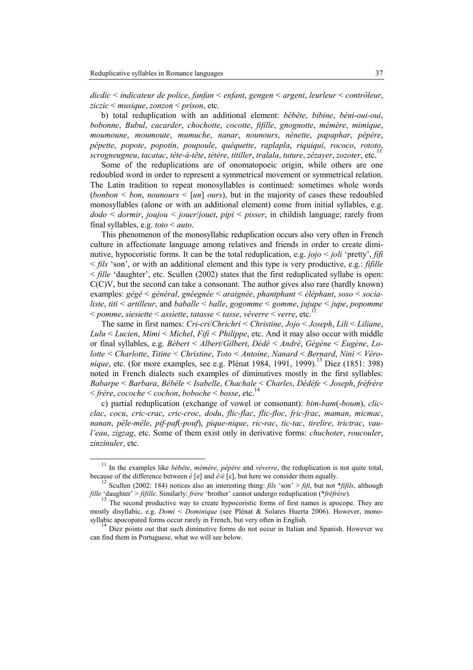$\overline{a}$ 

*dicdic* < *indicateur de police*, *fanfan* < *enfant*, *gengen* < *argent*, *leurleur* < *contrôleur*, *ziczic* < *musique*, *zonzon* < *prison*, etc.

b) total reduplication with an additional element: *bébête*, *bibine*, *béni-oui-oui*, *bobonne*, *Bubul*, *cacarder*, *chochotte*, *cocotte*, *fifille*, *gnognotte*, *mémère*, *mimique*, *moumoune*, *moumoute*, *mumuche*, *nanar*, *nounours*, *nénette*, *papaphar*, *pépère*, *pépette*, *popote*, *popotin*, *poupoule*, *quéquette*, *raplapla*, *riquiqui*, *rococo*, *rototo*, *scrogneugneu*, *tacatac*, *tête-à-tête*, *tétère*, *titiller*, *tralala*, *tuture*, *zézayer*, *zozoter*, etc.<sup>11</sup>

Some of the reduplications are of onomatopoeic origin, while others are one redoubled word in order to represent a symmetrical movement or symmetrical relation. The Latin tradition to repeat monosyllables is continued: sometimes whole words (*bonbon* < *bon*, *nounours* < [*un*] *ours*), but in the majority of cases these redoubled monosyllables (alone or with an additional element) come from initial syllables, e.g. *dodo* < *dormir*, *joujou* < *jouer*/*jouet*, *pipi* < *pisser*, in childish language; rarely from final syllables, e.g. *toto* < *auto*.

This phenomenon of the monosyllabic reduplication occurs also very often in French culture in affectionate language among relatives and friends in order to create diminutive, hypocoristic forms. It can be the total reduplication, e.g. *jojo* < *joli* 'pretty', *fifi* < *fils* 'son', or with an additional element and this type is very productive, e.g.: *fifille*  $\le$  *fille* 'daughter', etc. Scullen (2002) states that the first reduplicated syllabe is open:  $C(C)V$ , but the second can take a consonant. The author gives also rare (hardly known) examples: *gégé* < *général*, *gnéegnée* < *araignée*, *phantphant* < *éléphant*, *soso* < *socialiste*, *titi* < *artilleur*, and *baballe* < *balle*, *gogomme* < *gomme*, *jujupe* < *jupe*, *popomme* < *pomme*, *siesiette* < *assiette*, *tatasse* < *tasse*, *véverre* < *verre*, etc.<sup>12</sup>

The same in first names: *Cri-cri*/*Chrichri* < *Christine*, *Jojo* < *Joseph*, *Lili* < *Liliane*, *Lulu* < *Lucien*, *Mimi* < *Michel*, *Fifi* < *Philippe*, etc. And it may also occur with middle or final syllables, e.g. *Bébert* < *Albert*/*Gilbert*, *Dédé* < *André*, *Gégène* < *Eugène*, *Lolotte* < *Charlotte*, *Titine* < *Christine*, *Toto* < *Antoine*, *anard* < *Bernard*, *ini* < *Véronique*, etc. (for more examples, see e.g. Plénat 1984, 1991, 1999).<sup>13</sup> Diez (1851: 398) noted in French dialects such examples of diminutives mostly in the first syllables: *Babarpe* < *Barbara*, *Bébéle* < *Isabelle*, *Chachale* < *Charles*, *Dédéfe* < *Joseph*, *fréfrére* < *frère*, *cocoche* < *cochon*, *boboche* < *bosse*, etc.<sup>14</sup>

c) partial reduplication (exchange of vowel or consonant): *bim-bam*(*-boum*), *clicclac*, *cocu*, *cric-crac*, *cric-croc*, *dodu*, *flic-flac*, *flic-floc*, *fric-frac*, *maman*, *micmac*, *nanan*, *pêle-mêle*, *pif-paf*(*-pouf*), *pique-nique*, *ric-rac*, *tic-tac*, *tirelire*, *trictrac*, *vaul'eau*, *zigzag*, etc. Some of them exist only in derivative forms: *chuchoter*, *roucouler*, *zinzinuler*, etc.

<sup>11</sup> In the examples like *bébête*, *mémère*, *pépère* and *véverre*, the reduplication is not quite total, because of the difference between *é* [e] and *ê/è* [ε], but here we consider them equally.

<sup>12</sup> Scullen (2002: 184) notices also an interesting thing: *fils* 'son' > *fifi*, but not \**fifils*, although *fille* 'daughter' > *fifille*. Similarly: *frère* 'brother' cannot undergo reduplication (\**fréfrère*).

The second productive way to create hypocoristic forms of first names is apocope. They are mostly disyllabic, e.g. *Domi* < *Dominique* (see Plénat & Solares Huerta 2006). However, monosyllabic apocopated forms occur rarely in French, but very often in English.

<sup>14</sup> Diez points out that such diminutive forms do not occur in Italian and Spanish. However we can find them in Portuguese, what we will see below.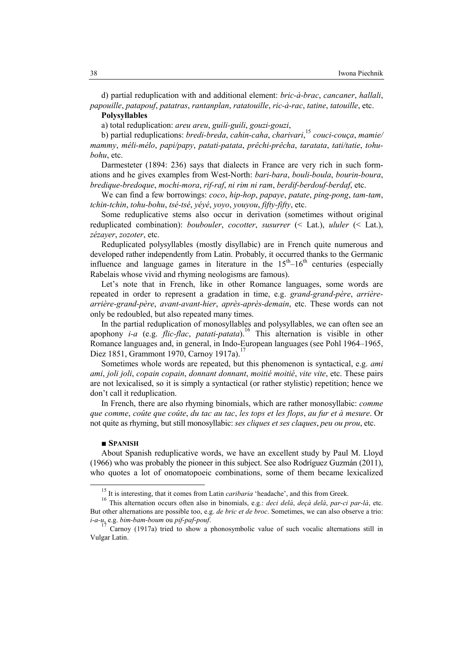d) partial reduplication with and additional element: *bric-à-brac*, *cancaner*, *hallali*, *papouille*, *patapouf*, *patatras*, *rantanplan*, *ratatouille*, *ric-à-rac*, *tatine*, *tatouille*, etc. **Polysyllables**

a) total reduplication: *areu areu*, *guili-guili*, *gouzi-gouzi*,

b) partial reduplications: *bredi-breda*, *cahin-caha*, *charivari*, <sup>15</sup> *couci-couça*, *mamie/ mammy*, *méli-mélo*, *papi/papy*, *patati-patata*, *prêchi-prêcha*, *taratata*, *tati/tatie*, *tohubohu*, etc.

Darmesteter (1894: 236) says that dialects in France are very rich in such formations and he gives examples from West-North: *bari-bara*, *bouli-boula*, *bourin-boura*, *bredique-bredoque*, *mochi-mora*, *rif-raf*, *ni rim ni ram*, *berdif-berdouf-berdaf*, etc.

We can find a few borrowings: *coco*, *hip-hop*, *papaye*, *patate*, *ping-pong*, *tam-tam*, *tchin-tchin*, *tohu-bohu*, *tsé-tsé*, *yéyé*, *yoyo*, *youyou*, *fifty-fifty*, etc.

Some reduplicative stems also occur in derivation (sometimes without original reduplicated combination): *boubouler*, *cocotter*, *susurrer* (< Lat.), *ululer* (< Lat.), *zézayer*, *zozoter*, etc.

Reduplicated polysyllables (mostly disyllabic) are in French quite numerous and developed rather independently from Latin. Probably, it occurred thanks to the Germanic influence and language games in literature in the  $15<sup>th</sup>-16<sup>th</sup>$  centuries (especially Rabelais whose vivid and rhyming neologisms are famous).

Let's note that in French, like in other Romance languages, some words are repeated in order to represent a gradation in time, e.g. *grand-grand-père*, *arrièrearrière-grand-père*, *avant-avant-hier*, *après-après-demain*, etc. These words can not only be redoubled, but also repeated many times.

In the partial reduplication of monosyllables and polysyllables, we can often see an apophony *i-a* (e.g. *flic-flac*, *patati-patata*).<sup>16</sup> This alternation is visible in other Romance languages and, in general, in Indo-European languages (see Pohl 1964–1965, Diez 1851, Grammont 1970, Carnoy 1917a).<sup>1</sup>

Sometimes whole words are repeated, but this phenomenon is syntactical, e.g. *ami ami*, *joli joli*, *copain copain*, *donnant donnant*, *moitié moitié*, *vite vite*, etc. These pairs are not lexicalised, so it is simply a syntactical (or rather stylistic) repetition; hence we don't call it reduplication.

In French, there are also rhyming binomials, which are rather monosyllabic: *comme que comme*, *coûte que coûte*, *du tac au tac*, *les tops et les flops*, *au fur et à mesure*. Or not quite as rhyming, but still monosyllabic: *ses cliques et ses claques*, *peu ou prou*, etc.

### ■ **SPAISH**

 $\overline{a}$ 

About Spanish reduplicative words, we have an excellent study by Paul M. Lloyd (1966) who was probably the pioneer in this subject. See also Rodríguez Guzmán (2011), who quotes a lot of onomatopoeic combinations, some of them became lexicalized

<sup>&</sup>lt;sup>15</sup> It is interesting, that it comes from Latin *caribaria* 'headache', and this from Greek.

<sup>16</sup> This alternation occurs often also in binomials, e.g.: *deci delà*, *deçà delà*, *par-ci par-là*, etc. But other alternations are possible too, e.g. *de bric et de broc*. Sometimes, we can also observe a trio: *i-a-u*, e.g. *bim-bam-boum* ou *pif-paf-pouf*.

<sup>17</sup> Carnoy (1917a) tried to show a phonosymbolic value of such vocalic alternations still in Vulgar Latin.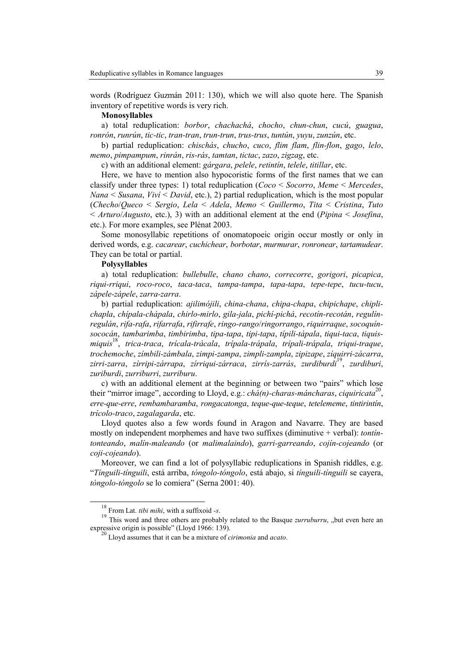words (Rodríguez Guzmán 2011: 130), which we will also quote here. The Spanish inventory of repetitive words is very rich.

### **Monosyllables**

a) total reduplication: *borbor*, *chachachá*, *chocho*, *chun-chun*, *cucú*, *guagua*, *ronrón*, *runrún*, *tic-tic*, *tran-tran*, *trun-trun*, *trus-trus*, *tuntún*, *yuyu*, *zunzún*, etc.

b) partial reduplication: *chischás*, *chucho*, *cuco*, *flim flam*, *flin-flon*, *gago*, *lelo*, *memo*, *pimpampum*, *rinrán*, *ris-rás*, *tamtan*, *tictac*, *zazo*, *zigzag*, etc.

c) with an additional element: *gárgara*, *pelele*, *retintín*, *telele*, *titillar*, etc.

Here, we have to mention also hypocoristic forms of the first names that we can classify under three types: 1) total reduplication (*Coco* < *Socorro*, *Meme* < *Mercedes*, *ana* < *Susana*, *Viví* < *David*, etc.), 2) partial reduplication, which is the most popular (*Checho*/*Queco* < *Sergio*, *Lela* < *Adela*, *Memo* < *Guillermo*, *Tita* < *Cristina*, *Tuto* < *Arturo*/*Augusto*, etc.), 3) with an additional element at the end (*Pipina* < *Josefina*, etc.). For more examples, see Plénat 2003.

Some monosyllabic repetitions of onomatopoeic origin occur mostly or only in derived words, e.g. *cacarear*, *cuchichear*, *borbotar*, *murmurar*, *ronronear*, *tartamudear*. They can be total or partial.

## **Polysyllables**

a) total reduplication: *bullebulle*, *chano chano*, *correcorre*, *gorigori*, *picapica*, *riqui-rriqui*, *roco-roco*, *taca-taca*, *tampa-tampa*, *tapa-tapa*, *tepe-tepe*, *tucu-tucu*, *zápele-zápele*, *zarra-zarra*.

b) partial reduplication: *ajilimójili*, *china-chana*, *chipa-chapa*, *chipichape*, *chiplichapla*, *chípala-chápala*, *chirlo-mirlo*, *gila-jala*, *pichí-pichá*, *recotín-recotán*, *regulínregulán*, *rifa-rafa*, *rifarrafa*, *rifirrafe*, *ringo-rango*/*ringorrango*, *riquirraque*, *socoquínsococán*, *tambarimba*, *timbirimba*, *tipa-tapa*, *tipi-tapa*, *típili-tápala*, *tiqui-taca*, *tiquismiquis*<sup>18</sup> , *trica-traca*, *trícala-trácala*, *trípala-trápala*, *trípali-trápala*, *triqui-traque*, *trochemoche*, *zímbili-zámbala*, *zimpi-zampa*, *zimpli-zampla*, *zipizape*, *zíquirri-zácarra*, *zirri-zarra*, *zírripi-zárrapa*, *zírriqui-zárraca*, *zirrís-zarrás*, *zurdiburdi*<sup>19</sup> , *zurdiburi*, *zuriburdi*, *zurriburri*, *zurriburu*.

c) with an additional element at the beginning or between two "pairs" which lose their "mirror image", according to Lloyd, e.g.: *chá(n)-charas-máncharas*, *ciquiricata*<sup>20</sup> , *erre-que-erre*, *rembambaramba*, *rongacatonga*, *teque-que-teque*, *tetelememe*, *tintirintín*, *trícolo-traco*, *zagalagarda*, etc.

Lloyd quotes also a few words found in Aragon and Navarre. They are based mostly on independent morphemes and have two suffixes (diminutive + verbal): *tontíntonteando*, *malín-maleando* (or *malimalaindo*), *garri-garreando*, *cojín-cojeando* (or *coji-cojeando*).

Moreover, we can find a lot of polysyllabic reduplications in Spanish riddles, e.g. "*Tínguili-tínguili*, está arriba, *tóngolo-tóngolo*, está abajo, si *tínguili-tínguili* se cayera, *tóngolo-tóngolo* se lo comiera" (Serna 2001: 40).

 $\overline{a}$ 

<sup>18</sup> From Lat. *tibi mihi*, with a suffixoid *-s*.

<sup>&</sup>lt;sup>19</sup> This word and three others are probably related to the Basque *zurruburru*, "but even here an expressive origin is possible" (Lloyd 1966: 139).

<sup>20</sup> Lloyd assumes that it can be a mixture of *cirimonia* and *acato*.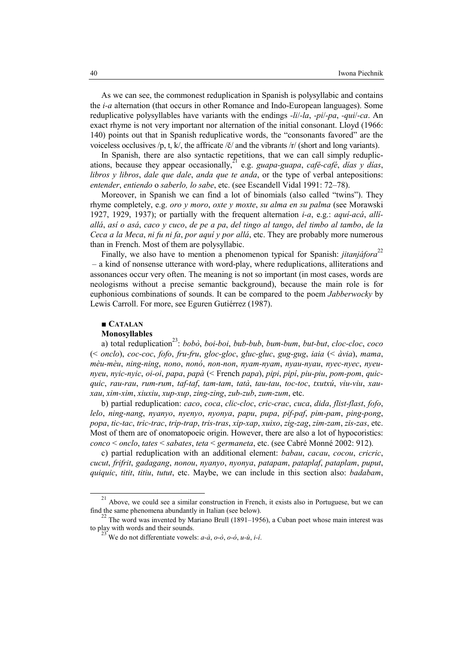As we can see, the commonest reduplication in Spanish is polysyllabic and contains the *i-a* alternation (that occurs in other Romance and Indo-European languages). Some reduplicative polysyllables have variants with the endings *-li*/*-la*, *-pi*/*-pa*, *-qui*/*-ca*. An exact rhyme is not very important nor alternation of the initial consonant. Lloyd (1966: 140) points out that in Spanish reduplicative words, the "consonants favored" are the voiceless occlusives /p, t, k/, the affricate / $\zeta$ / and the vibrants /r/ (short and long variants).

In Spanish, there are also syntactic repetitions, that we can call simply reduplications, because they appear occasionally,<sup>21</sup> e.g. *guapa-guapa*, *café-café*, *días* y días, *libros y libros*, *dale que dale*, *anda que te anda*, or the type of verbal antepositions: *entender*, *entiendo* o *saberlo, lo sabe*, etc. (see Escandell Vidal 1991: 72–78).

Moreover, in Spanish we can find a lot of binomials (also called "twins"). They rhyme completely, e.g. *oro y moro*, *oxte y moxte*, *su alma en su palma* (see Morawski 1927, 1929, 1937); or partially with the frequent alternation *i-a*, e.g.: *aquí-acá*, *allíallá*, *así o asá*, *caco y cuco*, *de pe a pa*, *del tingo al tango*, *del timbo al tambo*, *de la Ceca a la Meca*, *ni fu ni fa*, *por aquí y por allá*, etc. They are probably more numerous than in French. Most of them are polysyllabic.

Finally, we also have to mention a phenomenon typical for Spanish: *iitaniáfora*<sup>22</sup> – a kind of nonsense utterance with word-play, where reduplications, alliterations and assonances occur very often. The meaning is not so important (in most cases, words are neologisms without a precise semantic background), because the main role is for euphonious combinations of sounds. It can be compared to the poem *Jabberwocky* by Lewis Carroll. For more, see Eguren Gutiérrez (1987).

## ■ **CATALAN**

 $\overline{a}$ 

### **Monosyllables**

a) total reduplication<sup>23</sup> : *bobò*, *boi-boi*, *bub-bub*, *bum-bum*, *but-but*, *cloc-cloc*, *coco* (< *onclo*), *coc-coc*, *fofo*, *fru-fru*, *gloc-gloc*, *gluc-gluc*, *gug-gug*, *iaia* (< *àvia*), *mama*, *mèu-mèu*, *ning-ning*, *nono*, *nonó*, *non-non*, *nyam-nyam*, *nyau-nyau*, *nyec-nyec*, *nyeunyeu*, *nyic-nyic*, *oi-oi*, *papa*, *papà* (< French *papa*), *pipi*, *pipí*, *piu-piu*, *pom-pom*, *quicquic*, *rau-rau*, *rum-rum*, *taf-taf*, *tam-tam*, *tatà*, *tau-tau*, *toc-toc*, *txutxú*, *viu-viu*, *xauxau*, *xim-xim*, *xiuxiu*, *xup-xup*, *zing-zing*, *zub-zub*, *zum-zum*, etc.

b) partial reduplication: *caco*, *coca*, *clic-cloc*, *cric-crac*, *cuca*, *dida*, *flist-flast*, *fofo*, *lelo*, *ning-nang*, *nyanyo*, *nyenyo*, *nyonya*, *papu*, *pupa*, *pif-paf*, *pim-pam*, *ping-pong*, *popa*, *tic-tac*, *tric-trac*, *trip-trap*, *tris-tras*, *xip-xap*, *xuixo*, *zig-zag*, *zim-zam*, *zis-zas*, etc. Most of them are of onomatopoeic origin. However, there are also a lot of hypocoristics: *conco* < *onclo*, *tates* < *sabates*, *teta* < *germaneta*, etc. (see Cabré Monné 2002: 912).

c) partial reduplication with an additional element: *babau*, *cacau*, *cocou*, *cricric*, *cucut*, *frifrit*, *gadagang*, *nonou*, *nyanyo*, *nyonya*, *patapam*, *pataplaf*, *pataplam*, *puput*, *quiquic*, *titit*, *titiu*, *tutut*, etc. Maybe, we can include in this section also: *badabam*,

<sup>21</sup> Above, we could see a similar construction in French, it exists also in Portuguese, but we can find the same phenomena abundantly in Italian (see below).

The word was invented by Mariano Brull (1891–1956), a Cuban poet whose main interest was to play with words and their sounds.

<sup>23</sup> We do not differentiate vowels: *a-à*, *o-ò*, *o-ó*, *u-ù*, *i-í*.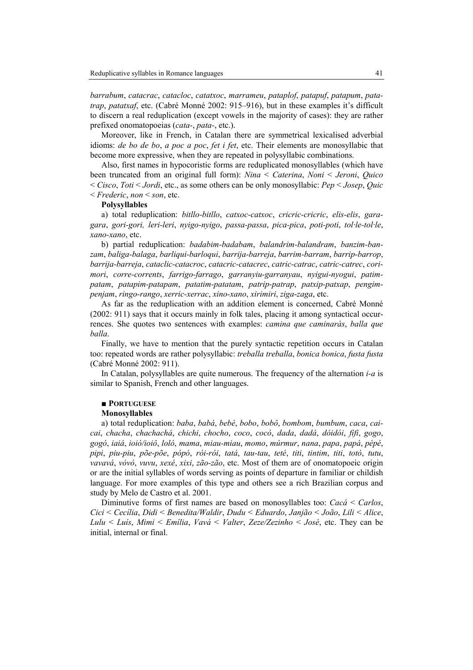*barrabum*, *catacrac*, *catacloc*, *catatxoc*, *marrameu*, *pataplof*, *patapuf*, *patapum*, *patatrap*, *patatxaf*, etc. (Cabré Monné 2002: 915–916), but in these examples it's difficult to discern a real reduplication (except vowels in the majority of cases): they are rather prefixed onomatopoeias (*cata-*, *pata-*, etc.).

Moreover, like in French, in Catalan there are symmetrical lexicalised adverbial idioms: *de bo de bo*, *a poc a poc*, *fet i fet*, etc. Their elements are monosyllabic that become more expressive, when they are repeated in polysyllabic combinations.

Also, first names in hypocoristic forms are reduplicated monosyllables (which have been truncated from an original full form): *ina* < *Caterina*, *oni* < *Jeroni*, *Quico* < *Cisco*, *Toti* < *Jordi*, etc., as some others can be only monosyllabic: *Pep* < *Josep*, *Quic* < *Frederic*, *non* < *son*, etc.

## **Polysyllables**

a) total reduplication: *bitllo-bitllo*, *catxoc-catxoc*, *cricric-cricric*, *elis-elis*, *garagara*, *gori-gori, leri-leri*, *nyigo-nyigo*, *passa-passa*, *pica-pica*, *poti-poti*, *tol·le-tol·le*, *xano-xano*, etc.

b) partial reduplication: *badabim-badabam*, *balandrim-balandram*, *banzim-banzam*, *baliga-balaga*, *barliqui-barloqui*, *barrija-barreja*, *barrim-barram*, *barrip-barrop*, *barrija-barreja*, *cataclic-catacroc*, *catacric-catacrec*, *catric-catrac*, *catric-catrec*, *corimori*, *corre-corrents*, *farrigo-farrago*, *garranyiu-garranyau*, *nyigui-nyogui*, *patimpatam*, *patapim-patapam*, *patatim-patatam*, *patrip-patrap*, *patxip-patxap*, *pengimpenjam*, *ringo-rango*, *xerric-xerrac*, *xino-xano*, *xirimiri*, *ziga-zaga*, etc.

As far as the reduplication with an addition element is concerned, Cabré Monné (2002: 911) says that it occurs mainly in folk tales, placing it among syntactical occurrences. She quotes two sentences with examples: *camina que caminaràs*, *balla que balla*.

Finally, we have to mention that the purely syntactic repetition occurs in Catalan too: repeated words are rather polysyllabic: *treballa treballa*, *bonica bonica*, *fusta fusta* (Cabré Monné 2002: 911).

In Catalan, polysyllables are quite numerous. The frequency of the alternation *i-a* is similar to Spanish, French and other languages.

# ■ **PORTUGUESE**

## **Monosyllables**

a) total reduplication: *baba*, *babá*, *bebé*, *bobo*, *bobô*, *bombom*, *bumbum*, *caca*, *caicai*, *chacha*, *chachachá*, *chichi*, *chocho*, *coco*, *cocó*, *dada*, *dadá*, *dóidói*, *fifi*, *gogo*, *gogó*, *iaiá*, *ioió/ioiô*, *loló*, *mama*, *miau-miau*, *momo*, *múrmur*, *nana*, *papa*, *papá*, *pépé*, *pipi*, *piu-piu*, *põe-põe*, *pópó*, *rói-rói*, *tatá*, *tau-tau*, *teté*, *titi*, *tintim*, *titi*, *totó*, *tutu*, *vavavá*, *vóvó*, *vuvu*, *xexé*, *xixi*, *zão-zão*, etc. Most of them are of onomatopoeic origin or are the initial syllables of words serving as points of departure in familiar or childish language. For more examples of this type and others see a rich Brazilian corpus and study by Melo de Castro et al. 2001.

Diminutive forms of first names are based on monosyllables too: *Cacá* < *Carlos*, *Cici* < *Cecília*, *Didi* < *Benedita/Waldir*, *Dudu* < *Eduardo*, *Janjão* < *João*, *Lili* < *Alice*, *Lulu* < *Luís*, *Mimi* < *Emília*, *Vavá* < *Valter*, *Zeze/Zezinho* < *José*, etc. They can be initial, internal or final.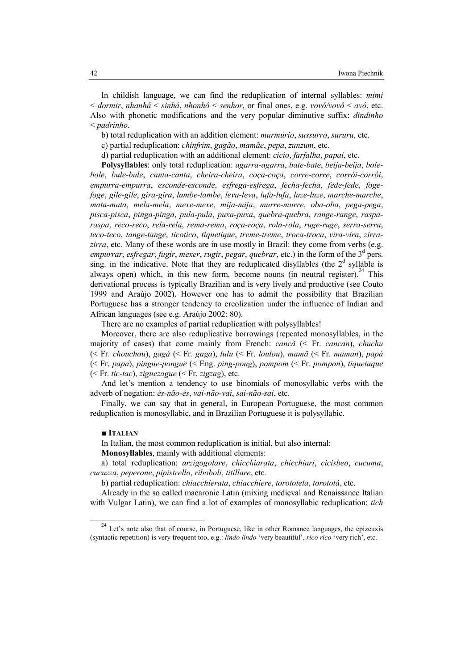In childish language, we can find the reduplication of internal syllables: *mimi* < *dormir*, *nhanhá* < *sinhá*, *nhonhô* < *senhor*, or final ones, e.g. *vovó/vovô* < *avó*, etc. Also with phonetic modifications and the very popular diminutive suffix: *dindinho* < *padrinho*.

b) total reduplication with an addition element: *murmúrio*, *sussurro*, *sururu*, etc.

c) partial reduplication: *chinfrim*, *gagão*, *mamãe*, *pepa*, *zunzum*, etc.

d) partial reduplication with an additional element: *cicio*, *farfalha*, *papai*, etc.

**Polysyllables**: only total reduplication: *agarra-agarra*, *bate-bate*, *beija-beija*, *bolebole*, *bule-bule*, *canta-canta*, *cheira-cheira*, *coça-coça*, *corre-corre*, *corrói-corrói*, *empurra-empurra*, *esconde-esconde*, *esfrega-esfrega*, *fecha-fecha*, *fede-fede*, *fogefoge*, *gile-gile*, *gira-gira*, *lambe-lambe*, *leva-leva*, *lufa-lufa*, *luze-luze*, *marche-marche*, *mata-mata*, *mela-mela*, *mexe-mexe*, *mija-mija*, *murre-murre*, *oba-oba*, *pega-pega*, *pisca-pisca*, *pinga-pinga*, *pula-pula*, *puxa-puxa*, *quebra-quebra*, *range-range*, *rasparaspa*, *reco-reco*, *rela-rela*, *rema-rema*, *roça-roça*, *rola-rola*, *ruge-ruge*, *serra-serra*, *teco-teco*, *tange-tange*, *ticotico*, *tiquetique*, *treme-treme*, *troca-troca*, *vira-vira*, *zirra*zirra, etc. Many of these words are in use mostly in Brazil: they come from verbs (e.g. *empurrar*, *esfregar*, *fugir*, *mexer*, *rugir*, *pegar*, *quebrar*, etc.) in the form of the 3<sup>d</sup> pers. sing. in the indicative. Note that they are reduplicated disyllables (the  $2<sup>d</sup>$  syllable is always open) which, in this new form, become nouns (in neutral register). <sup>24</sup> This derivational process is typically Brazilian and is very lively and productive (see Couto 1999 and Araújo 2002). However one has to admit the possibility that Brazilian Portuguese has a stronger tendency to creolization under the influence of Indian and African languages (see e.g. Araújo 2002: 80).

There are no examples of partial reduplication with polysyllables!

Moreover, there are also reduplicative borrowings (repeated monosyllables, in the majority of cases) that come mainly from French: *cancã* (< Fr. *cancan*), *chuchu* (< Fr. *chouchou*), *gagá* (< Fr. *gaga*), *lulu* (< Fr. *loulou*), *mamã* (< Fr. *maman*), *papá* (< Fr. *papa*), *pingue-pongue* (< Eng. *ping-pong*), *pompom* (< Fr. *pompon*), *tiquetaque* (< Fr. *tic-tac*), *ziguezague* (< Fr. *zigzag*), etc.

And let's mention a tendency to use binomials of monosyllabic verbs with the adverb of negation: *és-não-és*, *vai-não-vai*, *sai-não-sai*, etc.

Finally, we can say that in general, in European Portuguese, the most common reduplication is monosyllabic, and in Brazilian Portuguese it is polysyllabic.

## ■ **ITALIA**

 $\overline{a}$ 

In Italian, the most common reduplication is initial, but also internal:

**Monosyllables**, mainly with additional elements:

a) total reduplication: *arzigogolare*, *chicchiarata*, *chicchiari*, *cicisbeo*, *cucuma*, *cucuzza*, *peperone*, *pipistrello*, *riboboli*, *titillare*, etc.

b) partial reduplication: *chiacchierata*, *chiacchiere*, *torototela*, *torototà*, etc.

Already in the so called macaronic Latin (mixing medieval and Renaissance Italian with Vulgar Latin), we can find a lot of examples of monosyllabic reduplication: *tich* 

<sup>&</sup>lt;sup>24</sup> Let's note also that of course, in Portuguese, like in other Romance languages, the epizeuxis (syntactic repetition) is very frequent too, e.g.: *lindo lindo* 'very beautiful', *rico rico* 'very rich', etc.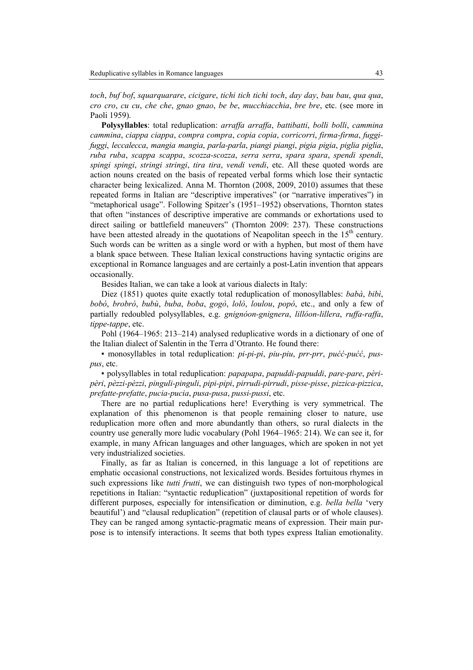*toch*, *buf bof*, *squarquarare*, *cicigare*, *tichi tich tichi toch*, *day day*, *bau bau*, *qua qua*, *cro cro*, *cu cu*, *che che*, *gnao gnao*, *be be*, *mucchiacchia*, *bre bre*, etc. (see more in Paoli 1959).

**Polysyllables**: total reduplication: *arraffa arraffa*, *battibatti*, *bolli bolli*, *cammina cammina*, *ciappa ciappa*, *compra compra*, *copia copia*, *corricorri*, *firma-firma*, *fuggifuggi*, *leccalecca*, *mangia mangia*, *parla-parla*, *piangi piangi*, *pigia pigia*, *piglia piglia*, *ruba ruba*, *scappa scappa*, *scozza-scozza*, *serra serra*, *spara spara*, *spendi spendi*, *spingi spingi*, *stringi stringi*, *tira tira*, *vendi vendi*, etc. All these quoted words are action nouns created on the basis of repeated verbal forms which lose their syntactic character being lexicalized. Anna M. Thornton (2008, 2009, 2010) assumes that these repeated forms in Italian are "descriptive imperatives" (or "narrative imperatives") in "metaphorical usage". Following Spitzer's (1951–1952) observations, Thornton states that often "instances of descriptive imperative are commands or exhortations used to direct sailing or battlefield maneuvers" (Thornton 2009: 237). These constructions have been attested already in the quotations of Neapolitan speech in the  $15<sup>th</sup>$  century. Such words can be written as a single word or with a hyphen, but most of them have a blank space between. These Italian lexical constructions having syntactic origins are exceptional in Romance languages and are certainly a post-Latin invention that appears occasionally.

Besides Italian, we can take a look at various dialects in Italy:

Diez (1851) quotes quite exactly total reduplication of monosyllables: *babà*, *bibì*, *bobò*, *brobrò*, *bubù*, *buba*, *boba*, *gogò*, *lolò*, *loulou*, *popò*, etc., and only a few of partially redoubled polysyllables, e.g. *gnignóon-gnignera*, *lillóon-lillera*, *ruffa-raffa*, *tippe-tappe*, etc.

Pohl (1964–1965: 213–214) analysed reduplicative words in a dictionary of one of the Italian dialect of Salentin in the Terra d'Otranto. He found there:

▪ monosyllables in total reduplication: *pi-pi-pi*, *piu-piu*, *prr-prr*, *pućć-pućć*, *puspus*, etc.

▪ polysyllables in total reduplication: *papapapa*, *papuddi-papuddi*, *pare-pare*, *pèripèri*, *pèzzi-pèzzi*, *pinguli-pinguli*, *pipi-pipi*, *pirrudi-pirrudi*, *pisse-pisse*, *pizzica-pizzica*, *prefatte-prefatte*, *pucia-pucia*, *pusa-pusa*, *pussi-pussi*, etc.

There are no partial reduplications here! Everything is very symmetrical. The explanation of this phenomenon is that people remaining closer to nature, use reduplication more often and more abundantly than others, so rural dialects in the country use generally more ludic vocabulary (Pohl 1964–1965: 214). We can see it, for example, in many African languages and other languages, which are spoken in not yet very industrialized societies.

Finally, as far as Italian is concerned, in this language a lot of repetitions are emphatic occasional constructions, not lexicalized words. Besides fortuitous rhymes in such expressions like *tutti frutti*, we can distinguish two types of non-morphological repetitions in Italian: "syntactic reduplication" (juxtapositional repetition of words for different purposes, especially for intensification or diminution, e.g. *bella bella* 'very beautiful') and "clausal reduplication" (repetition of clausal parts or of whole clauses). They can be ranged among syntactic-pragmatic means of expression. Their main purpose is to intensify interactions. It seems that both types express Italian emotionality.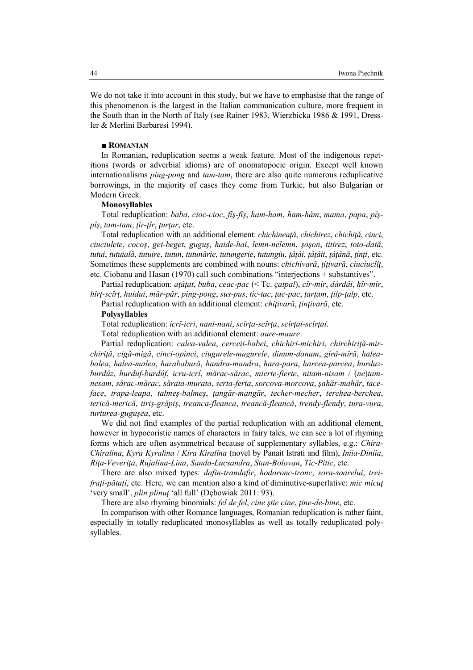We do not take it into account in this study, but we have to emphasise that the range of this phenomenon is the largest in the Italian communication culture, more frequent in the South than in the North of Italy (see Rainer 1983, Wierzbicka 1986 & 1991, Dressler & Merlini Barbaresi 1994).

# ■ **ROMANIAN**

In Romanian, reduplication seems a weak feature. Most of the indigenous repetitions (words or adverbial idioms) are of onomatopoeic origin. Except well known internationalisms *ping-pong* and *tam-tam*, there are also quite numerous reduplicative borrowings, in the majority of cases they come from Turkic, but also Bulgarian or Modern Greek.

# **Monosyllables**

Total reduplication: *baba*, *cioc-cioc*, *fîş-fîş*, *ham-ham*, *ham-hám*, *mama*, *papa*, *pîşpîş*, *tam-tam*, *ţîr-ţîr*, *ţurţur*, etc.

Total reduplication with an additional element: *chichineaţă*, *chichirez*, *chichiţă*, *cinci*, *ciuciulete*, *cocoş*, *get-beget*, *guguş*, *haide-hai*, *lemn-nelemn*, *şoşon*, *titirez*, *toto-dată*, *tutui*, *tutuială*, *tutuire*, *tutun*, *tutunărie*, *tutungerie*, *tutungiu*, *ţâţâi*, *ţâţâit*, *ţâţână*, *ţinţi*, etc. Sometimes these supplements are combined with nouns: *chichivară*, *ţiţivară*, *ciuciucîlţ*, etc. Ciobanu and Hasan (1970) call such combinations "interjections + substantives".

Partial reduplication: *aţâţat*, *buba*, *ceac-pac* (< Tc. *çatpal*), *cîr-mîr*, *dârdâi*, *hîr-mîr*, *hîrţ-scîrţ*, *huiduí*, *măr-păr*, *ping-pong*, *sus-pus*, *tic-tac*, *ţac-pac*, *ţarţam*, *ţilp-ţalp*, etc.

Partial reduplication with an additional element: *chiţivară*, *ţinţivară*, etc.

### **Polysyllables**

Total reduplication: *icrî-icri*, *nani-nani*, *scîrţa-scîrţa*, *scîrţai-scîrţai*.

Total reduplication with an additional element: *aure-maure*.

Partial reduplication: *calea-valea*, *cerceii-babei*, *chichiri-michiri*, *chirchiriţă-mirchiriţă*, *cigă-migă*, *cinci-opinci*, *ciugurele-mugurele*, *dinum-danum*, *gîrâ-mîră*, *haleabalea*, *halea-malea*, *harababură*, *handra-mandra*, *hara-para*, *harcea-parcea*, *hurduzburdúz*, *hurduf-burdúf*, *icru-icrî*, *mărac-sărac*, *mierte-fierte*, *nitam-nisam* / (*ne*)*tamnesam*, *sărac-mărac*, *sărata-murata*, *serta-ferta*, *sorcova-morcova*, *şahăr-mahăr*, *taceface*, *trapa-leapa*, *talmeş-balmeş*, *ţangăr-mangăr*, *techer-mecher*, *terchea-berchea*, *terică-merică*, *tiriş-grăpiş*, *treanca-fleanca*, *treancă-fleancă*, *trendy-flendy*, *tura-vura*, *turturea-guguşea*, etc.

We did not find examples of the partial reduplication with an additional element, however in hypocoristic names of characters in fairy tales, we can see a lot of rhyming forms which are often asymmetrical because of supplementary syllables, e.g.: *Chira-Chiralina*, *Kyra Kyralina* / *Kira Kiralina* (novel by Panait Istrati and film), *Iniia-Diniia*, *Riţa-Veveriţa*, *Rujalina-Lina*, *Sanda-Lucsandra*, *Stan-Bolovan*, *Tic-Pitic*, etc.

There are also mixed types: *dafin-trandafir*, *hodoronc-tronc*, *sora-soarelui*, *treifraţi-pătaţi*, etc. Here, we can mention also a kind of diminutive-superlative: *mic micuţ* 'very small', *plin plinuţ* 'all full' (Dębowiak 2011: 93).

There are also rhyming binomials: *fel de fel, cine stie cine, tine-de-bine*, etc.

In comparison with other Romance languages, Romanian reduplication is rather faint, especially in totally reduplicated monosyllables as well as totally reduplicated polysyllables.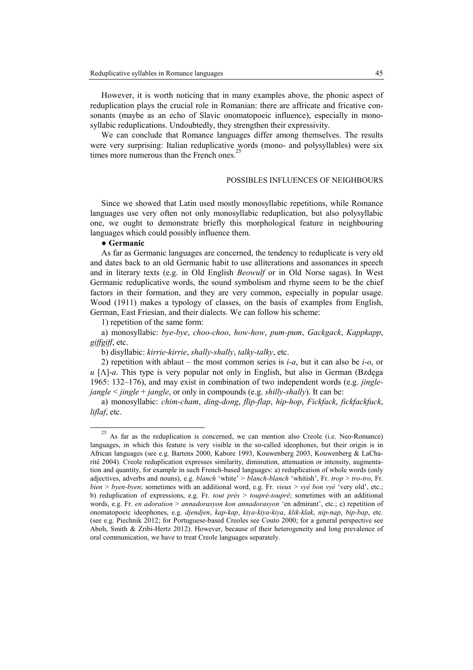However, it is worth noticing that in many examples above, the phonic aspect of reduplication plays the crucial role in Romanian: there are affricate and fricative consonants (maybe as an echo of Slavic onomatopoeic influence), especially in monosyllabic reduplications. Undoubtedly, they strengthen their expressivity.

We can conclude that Romance languages differ among themselves. The results were very surprising: Italian reduplicative words (mono- and polysyllables) were six times more numerous than the French ones.<sup>25</sup>

## POSSIBLES INFLUENCES OF NEIGHBOURS

Since we showed that Latin used mostly monosyllabic repetitions, while Romance languages use very often not only monosyllabic reduplication, but also polysyllabic one, we ought to demonstrate briefly this morphological feature in neighbouring languages which could possibly influence them.

## ● **Germanic**

 $\overline{a}$ 

As far as Germanic languages are concerned, the tendency to reduplicate is very old and dates back to an old Germanic habit to use alliterations and assonances in speech and in literary texts (e.g. in Old English *Beowulf* or in Old Norse sagas). In West Germanic reduplicative words, the sound symbolism and rhyme seem to be the chief factors in their formation, and they are very common, especially in popular usage. Wood (1911) makes a typology of classes, on the basis of examples from English, German, East Friesian, and their dialects. We can follow his scheme:

1) repetition of the same form:

a) monosyllabic: *bye-bye*, *choo-choo*, *how-how*, *pum-pum*, *Gackgack*, *Kappkapp*, *giffgiff*, etc.

b) disyllabic: *kirrie-kirrie*, *shally-shally*, *talky-talky*, etc.

2) repetition with ablaut – the most common series is *i*-*a*, but it can also be *i*-*o*, or  $u \left[ \Lambda \right]$ -*a*. This type is very popular not only in English, but also in German (Bzdęga 1965: 132–176), and may exist in combination of two independent words (e.g. *jinglejangle* < *jingle* + *jangle*, or only in compounds (e.g. *shilly-shally*). It can be:

a) monosyllabic: *chim-cham*, *ding-dong*, *flip-flap*, *hip-hop*, *Fickfack*, *fickfackfuck*, *liflaf*, etc.

As far as the reduplication is concerned, we can mention also Creole (i.e. Neo-Romance) languages, in which this feature is very visible in the so-called ideophones, but their origin is in African languages (see e.g. Bartens 2000, Kabore 1993, Kouwenberg 2003, Kouwenberg & LaCharité 2004). Creole reduplication expresses similarity, diminution, attenuation or intensity, augmentation and quantity, for example in such French-based languages: a) reduplication of whole words (only adjectives, adverbs and nouns), e.g. *blanch* 'white' > *blanch-blanch* 'whitish', Fr. *trop* > *tro-tro*, Fr. *bien* > *byen-byen*; sometimes with an additional word, e.g. Fr. *vieux* > *vyé bon vyé* 'very old', etc.; b) reduplication of expressions, e.g. Fr. *tout près* > *toupré-toupré*; sometimes with an additional words, e.g. Fr. *en adoration* > *annadorasyon kon annadorasyon* 'en admirant', etc.; c) repetition of onomatopoeic ideophones, e.g. *djendjen*, *kap-kap*, *kiya-kiya-kiya*, *klik-klak*, *nip-nap*, *bip-bap*, etc. (see e.g. Piechnik 2012; for Portuguese-based Creoles see Couto 2000; for a general perspective see Aboh, Smith & Zribi-Hertz 2012). However, because of their heterogeneity and long prevalence of oral communication, we have to treat Creole languages separately.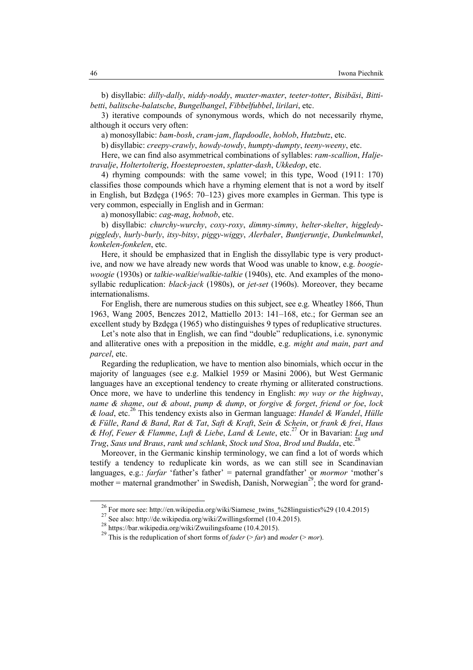b) disyllabic: *dilly-dally*, *niddy-noddy*, *muxter-maxter*, *teeter-totter*, *Bisibäsi*, *Bittibetti*, *balitsche-balatsche*, *Bungelbangel*, *Fibbelfubbel*, *lirilari*, etc.

3) iterative compounds of synonymous words, which do not necessarily rhyme, although it occurs very often:

a) monosyllabic: *bam-bosh*, *cram-jam*, *flapdoodle*, *hoblob*, *Hutzbutz*, etc.

b) disyllabic: *creepy-crawly*, *howdy-towdy*, *humpty-dumpty*, *teeny-weeny*, etc.

Here, we can find also asymmetrical combinations of syllables: *ram-scallion*, *Haljetravalje*, *Holtertolterig*, *Hoesteproesten*, *splatter-dash*, *Ukkedop*, etc.

4) rhyming compounds: with the same vowel; in this type, Wood (1911: 170) classifies those compounds which have a rhyming element that is not a word by itself in English, but Bzdęga (1965: 70–123) gives more examples in German. This type is very common, especially in English and in German:

a) monosyllabic: *cag-mag*, *hobnob*, etc.

b) disyllabic: *churchy-wurchy*, *coxy-roxy*, *dimmy-simmy*, *helter-skelter*, *higgledypiggledy*, *hurly-burly*, *itsy-bitsy*, *piggy-wiggy*, *Alerbaler*, *Buntjeruntje*, *Dunkelmunkel*, *konkelen-fonkelen*, etc.

Here, it should be emphasized that in English the dissyllabic type is very productive, and now we have already new words that Wood was unable to know, e.g. *boogiewoogie* (1930s) or *talkie-walkie*/*walkie-talkie* (1940s), etc. And examples of the monosyllabic reduplication: *black-jack* (1980s), or *jet-set* (1960s). Moreover, they became internationalisms.

For English, there are numerous studies on this subject, see e.g. Wheatley 1866, Thun 1963, Wang 2005, Benczes 2012, Mattiello 2013: 141–168, etc.; for German see an excellent study by Bzdęga (1965) who distinguishes 9 types of reduplicative structures.

Let's note also that in English, we can find "double" reduplications, i.e. synonymic and alliterative ones with a preposition in the middle, e.g. *might and main*, *part and parcel*, etc.

Regarding the reduplication, we have to mention also binomials, which occur in the majority of languages (see e.g. Malkiel 1959 or Masini 2006), but West Germanic languages have an exceptional tendency to create rhyming or alliterated constructions. Once more, we have to underline this tendency in English: *my way or the highway*, *name & shame*, *out & about*, *pump & dump*, or *forgive & forget*, *friend or foe*, *lock & load*, etc.<sup>26</sup> This tendency exists also in German language: *Handel & Wandel*, *Hülle & Fülle*, *Rand & Band*, *Rat & Tat*, *Saft & Kraft*, *Sein & Schein*, or *frank & frei*, *Haus & Hof*, *Feuer & Flamme*, *Luft & Liebe*, *Land & Leute*, etc.<sup>27</sup> Or in Bavarian: *Lug und Trug*, *Saus und Braus*, *rank und schlank*, *Stock und Stoa*, *Brod und Budda*, etc.<sup>28</sup>

Moreover, in the Germanic kinship terminology, we can find a lot of words which testify a tendency to reduplicate kin words, as we can still see in Scandinavian languages, e.g.: *farfar* 'father's father' = paternal grandfather' or *mormor* 'mother's mother = maternal grandmother' in Swedish, Danish, Norwegian<sup>29</sup>; the word for grand-

l

<sup>26</sup> For more see: http://en.wikipedia.org/wiki/Siamese\_twins\_%28linguistics%29 (10.4.2015)

 $27$  See also: http://de.wikipedia.org/wiki/Zwillingsformel (10.4.2015).

 $^{28}$  https://bar.wikipedia.org/wiki/Zwuilingsfoame (10.4.2015).

<sup>&</sup>lt;sup>29</sup> This is the reduplication of short forms of *fader* (> *far*) and *moder* (> *mor*).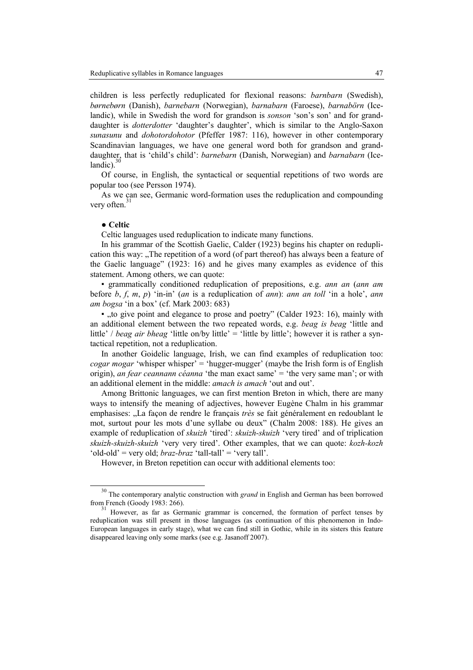children is less perfectly reduplicated for flexional reasons: *barnbarn* (Swedish), *børnebørn* (Danish), *barnebarn* (Norwegian), *barnabarn* (Faroese), *barnabörn* (Icelandic), while in Swedish the word for grandson is *sonson* 'son's son' and for granddaughter is *dotterdotter* 'daughter's daughter', which is similar to the Anglo-Saxon *sunasunu* and *dohotordohotor* (Pfeffer 1987: 116), however in other contemporary Scandinavian languages, we have one general word both for grandson and granddaughter, that is 'child's child': *barnebarn* (Danish, Norwegian) and *barnabarn* (Icelandic).

Of course, in English, the syntactical or sequential repetitions of two words are popular too (see Persson 1974).

As we can see, Germanic word-formation uses the reduplication and compounding very often. $31$ 

# ● **Celtic**

 $\overline{a}$ 

Celtic languages used reduplication to indicate many functions.

In his grammar of the Scottish Gaelic, Calder (1923) begins his chapter on reduplication this way: "The repetition of a word (of part thereof) has always been a feature of the Gaelic language" (1923: 16) and he gives many examples as evidence of this statement. Among others, we can quote:

▪ grammatically conditioned reduplication of prepositions, e.g. *ann an* (*ann am* before *b*, *f*, *m*, *p*) 'in-in' (*an* is a reduplication of *ann*): *ann an toll* 'in a hole', *ann am bogsa* 'in a box' (cf. Mark 2003: 683)

 $\bullet$  , to give point and elegance to prose and poetry" (Calder 1923: 16), mainly with an additional element between the two repeated words, e.g. *beag is beag* 'little and little' / *beag air bheag* 'little on/by little' = 'little by little'; however it is rather a syntactical repetition, not a reduplication.

In another Goidelic language, Irish, we can find examples of reduplication too: *cogar mogar* 'whisper whisper' = 'hugger-mugger' (maybe the Irish form is of English origin), *an fear ceannann céanna* 'the man exact same' = 'the very same man'; or with an additional element in the middle: *amach is amach* 'out and out'.

Among Brittonic languages, we can first mention Breton in which, there are many ways to intensify the meaning of adjectives, however Eugène Chalm in his grammar emphasises: "La façon de rendre le français *très* se fait généralement en redoublant le mot, surtout pour les mots d'une syllabe ou deux" (Chalm 2008: 188). He gives an example of reduplication of *skuizh* 'tired': *skuizh-skuizh* 'very tired' and of triplication *skuizh-skuizh-skuizh* 'very very tired'. Other examples, that we can quote: *kozh-kozh* 'old-old' = very old; *braz-braz* 'tall-tall' = 'very tall'.

However, in Breton repetition can occur with additional elements too:

<sup>&</sup>lt;sup>30</sup> The contemporary analytic construction with *grand* in English and German has been borrowed from French (Goody 1983: 266).

 $31$  However, as far as Germanic grammar is concerned, the formation of perfect tenses by reduplication was still present in those languages (as continuation of this phenomenon in Indo-European languages in early stage), what we can find still in Gothic, while in its sisters this feature disappeared leaving only some marks (see e.g. Jasanoff 2007).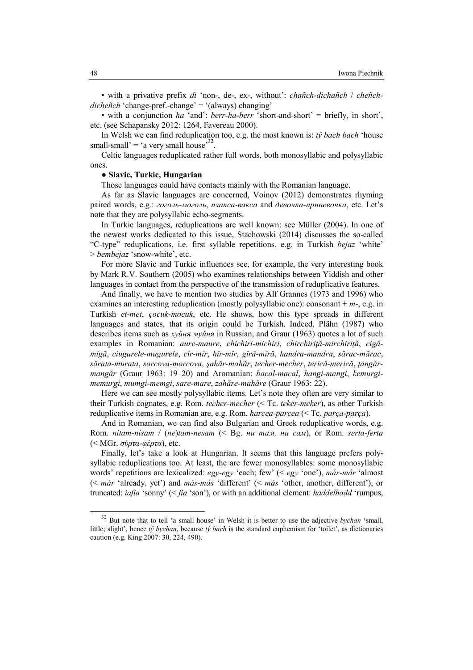▪ with a privative prefix *di* 'non-, de-, ex-, without': *chañch-dichañch* / *cheñchdicheñch* 'change-pref.-change' = '(always) changing'

▪ with a conjunction *ha* 'and': *berr-ha-berr* 'short-and-short' = briefly, in short', etc. (see Schapansky 2012: 1264, Favereau 2000).

In Welsh we can find reduplication too, e.g. the most known is: *tŷ bach bach* 'house small-small' = 'a very small house'<sup>32</sup>.

Celtic languages reduplicated rather full words, both monosyllabic and polysyllabic ones.

## ● **Slavic, Turkic, Hungarian**

Those languages could have contacts mainly with the Romanian language.

As far as Slavic languages are concerned, Voinov (2012) demonstrates rhyming paired words, e.g.: *гоголь-моголь*, *плакса-вакса* and *девочка-припевочка*, etc. Let's note that they are polysyllabic echo-segments.

In Turkic languages, reduplications are well known: see Müller (2004). In one of the newest works dedicated to this issue, Stachowski (2014) discusses the so-called "C-type" reduplications, i.e. first syllable repetitions, e.g. in Turkish *bejaz* 'white' > *bembejaz* 'snow-white', etc.

For more Slavic and Turkic influences see, for example, the very interesting book by Mark R.V. Southern (2005) who examines relationships between Yiddish and other languages in contact from the perspective of the transmission of reduplicative features.

And finally, we have to mention two studies by Alf Grannes (1973 and 1996) who examines an interesting reduplication (mostly polysyllabic one): consonant + *m-*, e.g. in Turkish *et-met*, *çocuk-mocuk*, etc. He shows, how this type spreads in different languages and states, that its origin could be Turkish. Indeed, Plähn (1987) who describes items such as *хуйня муйня* in Russian, and Graur (1963) quotes a lot of such examples in Romanian: *aure-maure*, *chichiri-michiri*, *chirchiriţă-mirchiriţă*, *cigămigă*, *ciugurele-mugurele*, *cîr-mîr*, *hîr-mîr*, *gîrâ-mîră*, *handra-mandra*, *sărac-mărac*, *sărata-murata*, *sorcova-morcova*, *şahăr-mahăr*, *techer-mecher*, *terică-merică*, *ţangărmangăr* (Graur 1963: 19–20) and Aromanian: *bacal-macal*, *hangi-mangi*, *kemurgimemurgi*, *mumgi-memgi*, *sare-mare*, *zahăre-mahăre* (Graur 1963: 22).

Here we can see mostly polysyllabic items. Let's note they often are very similar to their Turkish cognates, e.g. Rom. *techer-mecher* (< Tc. *teker-meker*), as other Turkish reduplicative items in Romanian are, e.g. Rom. *harcea-parcea* (< Tc. *parça-parça*).

And in Romanian, we can find also Bulgarian and Greek reduplicative words, e.g. Rom. *nitam-nisam* / (*ne*)*tam-nesam* (< Bg. *ни там, ни сам*), or Rom. *serta-ferta* (< MGr. *σύρτα-φέρτα*), etc.

Finally, let's take a look at Hungarian. It seems that this language prefers polysyllabic reduplications too. At least, the are fewer monosyllables: some monosyllabic words' repetitions are lexicalized: *egy-egy* 'each; few' (< *egy* 'one'), *már-már* 'almost (< *már* 'already, yet') and *más-más* 'different' (< *más* 'other, another, different'), or truncated: *iafia* 'sonny' (< *fia* 'son'), or with an additional element: *haddelhadd* 'rumpus,

 $\overline{a}$ 

<sup>32</sup> But note that to tell 'a small house' in Welsh it is better to use the adjective *bychan* 'small, little; slight', hence *tŷ bychan*, because *tŷ bach* is the standard euphemism for 'toilet', as dictionaries caution (e.g. King 2007: 30, 224, 490).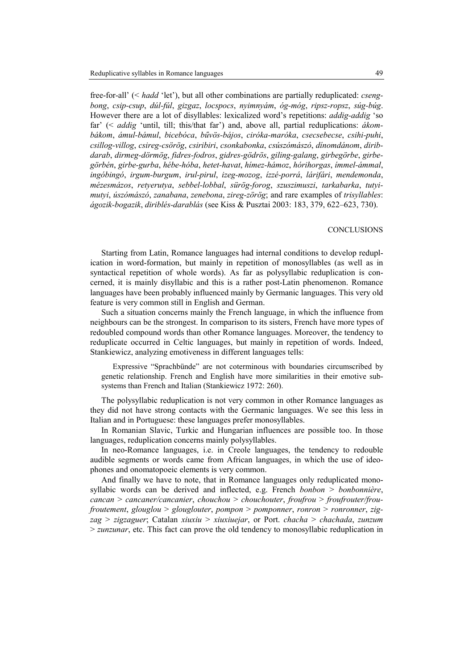free-for-all' (< *hadd* 'let'), but all other combinations are partially reduplicated: *csengbong*, *csip-csup*, *dúl-fúl*, *gizgaz*, *locspocs*, *nyimnyám*, *óg-móg*, *ripsz-ropsz*, *súg-búg*. However there are a lot of disyllables: lexicalized word's repetitions: *addig-addig* 'so far' (< *addig* 'until, till; this/that far') and, above all, partial reduplications: *ákombákom*, *ámul-bámul*, *bicebóca*, *bűvös-bájos*, *ciróka-maróka*, *csecsebecse*, *csihi-puhi*, *csillog-villog*, *csireg-csörög*, *csiribiri*, *csonkabonka*, *csúszómászó*, *dínomdánom*, *diribdarab*, *dirmeg-dörmög*, *fidres-fodros*, *gidres-gödrös*, *giling-galang*, *girbegörbe*, *girbegörbén*, *girbe-gurba*, *hébe-hóba*, *hetet-havat*, *hímez-hámoz*, *hórihorgas*, *ímmel-ámmal*, *ingóbingó*, *irgum-burgum*, *irul-pirul*, *izeg-mozog*, *ízzé-porrá*, *lárifári*, *mendemonda*, *mézesmázos*, *retyerutya*, *sebbel-lobbal*, *sürög-forog*, *szuszimuszi*, *tarkabarka*, *tutyimutyi*, *úszómászó*, *zanabana*, *zenebona*, *zireg-zörög*; and rare examples of *trisyllables*: *ágozik-bogazik*, *diriblés-darablás* (see Kiss & Pusztai 2003: 183, 379, 622–623, 730).

## **CONCLUSIONS**

Starting from Latin, Romance languages had internal conditions to develop reduplication in word-formation, but mainly in repetition of monosyllables (as well as in syntactical repetition of whole words). As far as polysyllabic reduplication is concerned, it is mainly disyllabic and this is a rather post-Latin phenomenon. Romance languages have been probably influenced mainly by Germanic languages. This very old feature is very common still in English and German.

Such a situation concerns mainly the French language, in which the influence from neighbours can be the strongest. In comparison to its sisters, French have more types of redoubled compound words than other Romance languages. Moreover, the tendency to reduplicate occurred in Celtic languages, but mainly in repetition of words. Indeed, Stankiewicz, analyzing emotiveness in different languages tells:

Expressive "Sprachbünde" are not coterminous with boundaries circumscribed by genetic relationship. French and English have more similarities in their emotive subsystems than French and Italian (Stankiewicz 1972: 260).

The polysyllabic reduplication is not very common in other Romance languages as they did not have strong contacts with the Germanic languages. We see this less in Italian and in Portuguese: these languages prefer monosyllables.

In Romanian Slavic, Turkic and Hungarian influences are possible too. In those languages, reduplication concerns mainly polysyllables.

In neo-Romance languages, i.e. in Creole languages, the tendency to redouble audible segments or words came from African languages, in which the use of ideophones and onomatopoeic elements is very common.

And finally we have to note, that in Romance languages only reduplicated monosyllabic words can be derived and inflected, e.g. French *bonbon* > *bonbonnière*, *cancan* > *cancaner/cancanier*, *chouchou* > *chouchouter*, *froufrou* > *froufrouter/froufroutement*, *glouglou* > *glouglouter*, *pompon* > *pomponner*, *ronron* > *ronronner*, *zigzag* > *zigzaguer*; Catalan *xiuxiu* > *xiuxiuejar*, or Port. *chacha* > *chachada*, *zunzum* > *zunzunar*, etc. This fact can prove the old tendency to monosyllabic reduplication in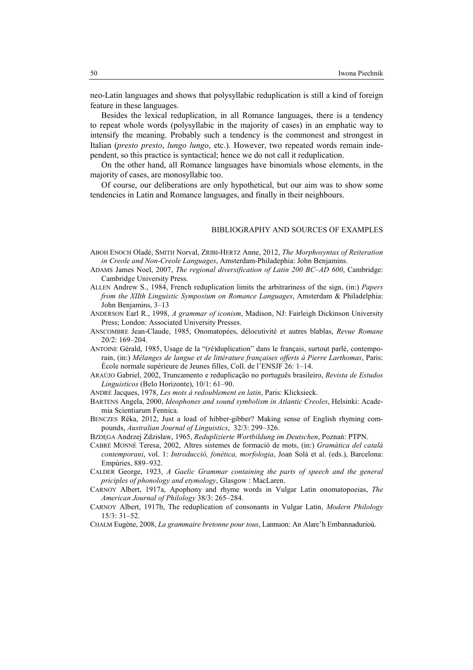neo-Latin languages and shows that polysyllabic reduplication is still a kind of foreign feature in these languages.

Besides the lexical reduplication, in all Romance languages, there is a tendency to repeat whole words (polysyllabic in the majority of cases) in an emphatic way to intensify the meaning. Probably such a tendency is the commonest and strongest in Italian (*presto presto*, *lungo lungo*, etc.). However, two repeated words remain independent, so this practice is syntactical; hence we do not call it reduplication.

On the other hand, all Romance languages have binomials whose elements, in the majority of cases, are monosyllabic too.

Of course, our deliberations are only hypothetical, but our aim was to show some tendencies in Latin and Romance languages, and finally in their neighbours.

### BIBLIOGRAPHY AND SOURCES OF EXAMPLES

- ABOH ENOCH Oladé, SMITH Norval, ZRIBI-HERTZ Anne, 2012, *The Morphosyntax of Reiteration in Creole and Non-Creole Languages*, Amsterdam-Philadephia: John Benjamins.
- ADAMS James Noel, 2007, *The regional diversification of Latin 200 BC–AD 600*, Cambridge: Cambridge University Press.
- ALLEN Andrew S., 1984, French reduplication limits the arbitrariness of the sign, (in:) *Papers from the XIIth Linguistic Symposium on Romance Languages*, Amsterdam & Philadelphia: John Benjamins, 3–13
- ANDERSON Earl R., 1998, *A grammar of iconism*, Madison, NJ: Fairleigh Dickinson University Press; London: Associated University Presses.
- ANSCOMBRE Jean-Claude, 1985, Onomatopées, délocutivité et autres blablas, *Revue Romane* 20/2: 169–204.
- ANTOINE Gérald, 1985, Usage de la "(ré)duplication" dans le français, surtout parlé, contemporain, (in:) *Mélanges de langue et de littérature françaises offerts à Pierre Larthomas*, Paris: École normale supérieure de Jeunes filles, Coll. de l'ENSJF 26: 1–14.
- ARAÚJO Gabriel, 2002, Truncamento e reduplicação no português brasileiro, *Revista de Estudos Linguisticos* (Belo Horizonte), 10/1: 61–90.
- ANDRÉ Jacques, 1978, *Les mots à redoublement en latin*, Paris: Klicksieck.
- BARTENS Angela, 2000, *Ideophones and sound symbolism in Atlantic Creoles*, Helsinki: Academia Scientiarum Fennica.
- BENCZES Réka, 2012, Just a load of hibber-gibber? Making sense of English rhyming compounds, *Australian Journal of Linguistics*, 32/3: 299–326.
- BZDĘGA Andrzej Zdzisław, 1965, *Reduplizierte Wortbildung im Deutschen*, Poznań: PTPN.
- CABRÉ MONNÉ Teresa, 2002, Altres sistemes de formació de mots, (in:) *Gramàtica del català contemporani*, vol. 1: *Introducció, fonètica, morfologia*, Joan Solà et al. (eds.), Barcelona: Empúries, 889–932.
- CALDER George, 1923, *A Gaelic Grammar containing the parts of speech and the general priciples of phonology and etymology*, Glasgow : MacLaren.
- CARNOY Albert, 1917a, Apophony and rhyme words in Vulgar Latin onomatopoeias, *The American Journal of Philology* 38/3: 265–284.
- CARNOY Albert, 1917b, The reduplication of consonants in Vulgar Latin, *Modern Philology* 15/3: 31–52.

CHALM Eugène, 2008, *La grammaire bretonne pour tous*, Lannuon: An Alarc'h Embannadurioù.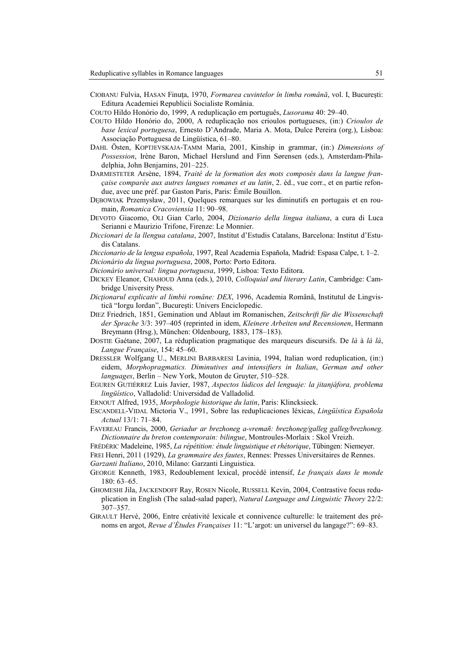CIOBANU Fulvia, HASAN Finuţa, 1970, *Formarea cuvintelor în limba română*, vol. I, Bucureşti: Editura Academiei Republicii Socialiste România.

COUTO Hildo Honório do, 1999, A reduplicação em português, *Lusorama* 40: 29–40.

- COUTO Hildo Honório do, 2000, A reduplicação nos crioulos portugueses, (in:) *Crioulos de base lexical portuguesa*, Ernesto D'Andrade, Maria A. Mota, Dulce Pereira (org.), Lisboa: Associação Portuguesa de Lingüística, 61–80.
- DAHL Östen, KOPTJEVSKAJA-TAMM Maria, 2001, Kinship in grammar, (in:) *Dimensions of Possession*, Irène Baron, Michael Herslund and Finn Sørensen (eds.), Amsterdam-Philadelphia, John Benjamins, 201–225.
- DARMESTETER Arsène, 1894, *Traité de la formation des mots composés dans la langue française comparée aux autres langues romanes et au latin*, 2. éd., vue corr., et en partie refondue, avec une préf. par Gaston Paris, Paris: Émile Bouillon.
- DĘBOWIAK Przemysław, 2011, Quelques remarques sur les diminutifs en portugais et en roumain, *Romanica Cracoviensia* 11: 90–98.
- DEVOTO Giacomo, OLI Gian Carlo, 2004, *Dizionario della lingua italiana*, a cura di Luca Serianni e Maurizio Trifone, Firenze: Le Monnier.
- *Diccionari de la llengua catalana*, 2007, Institut d'Estudis Catalans, Barcelona: Institut d'Estudis Catalans.
- *Diccionario de la lengua española*, 1997, Real Academia Española, Madrid: Espasa Calpe, t. 1–2. *Dicionário da língua portuguesa*, 2008, Porto: Porto Editora.
- *Dicionário universal: lingua portuguesa*, 1999, Lisboa: Texto Editora.
- DICKEY Eleanor, CHAHOUD Anna (eds.), 2010, *Colloquial and literary Latin*, Cambridge: Cambridge University Press.
- *Dicţionarul explicativ al limbii române: DEX*, 1996, Academia Română, Institutul de Lingvistică "Iorgu Iordan", Bucureşti: Univers Enciclopedic.
- DIEZ Friedrich, 1851, Gemination und Ablaut im Romanischen, *Zeitschrift für die Wissenschaft der Sprache* 3/3: 397–405 (reprinted in idem, *Kleinere Arbeiten und Recensionen*, Hermann Breymann (Hrsg.), München: Oldenbourg, 1883, 178–183).
- DOSTIE Gaétane, 2007, La réduplication pragmatique des marqueurs discursifs. De *là* à *là là*, *Langue Française*, 154: 45–60.
- DRESSLER Wolfgang U., MERLINI BARBARESI Lavinia, 1994, Italian word reduplication, (in:) eidem, *Morphopragmatics. Diminutives and intensifiers in Italian*, *German and other languages*, Berlin – New York, Mouton de Gruyter, 510–528.
- EGUREN GUTIÉRREZ Luis Javier, 1987, *Aspectos lúdicos del lenguaje: la jitanjáfora, problema lingüístico*, Valladolid: Universidad de Valladolid.
- ERNOUT Alfred, 1935, *Morphologie historique du latin*, Paris: Klincksieck.
- ESCANDELL-VIDAL Mictoria V., 1991, Sobre las reduplicaciones léxicas, *Lingüística Española Actual* 13/1: 71–84.
- FAVEREAU Francis, 2000, *Geriadur ar brezhoneg a-vremañ: brezhoneg/galleg galleg/brezhoneg. Dictionnaire du breton contemporain: bilingue*, Montroules-Morlaix : Skol Vreizh.
- FRÉDÉRIC Madeleine, 1985, *La répétition: étude linguistique et rhétorique*, Tübingen: Niemeyer.
- FREI Henri, 2011 (1929), *La grammaire des fautes*, Rennes: Presses Universitaires de Rennes.

*Garzanti Italiano*, 2010, Milano: Garzanti Linguistica.

- GEORGE Kenneth, 1983, Redoublement lexical, procédé intensif, *Le français dans le monde* 180: 63–65.
- GHOMESHI Jila, JACKENDOFF Ray, ROSEN Nicole, RUSSELL Kevin, 2004, Contrastive focus reduplication in English (The salad-salad paper), *atural Language and Linguistic Theory* 22/2: 307–357.
- GIRAULT Hervé, 2006, Entre créativité lexicale et connivence culturelle: le traitement des prénoms en argot, *Revue d'Études Françaises* 11: "L'argot: un universel du langage?": 69–83.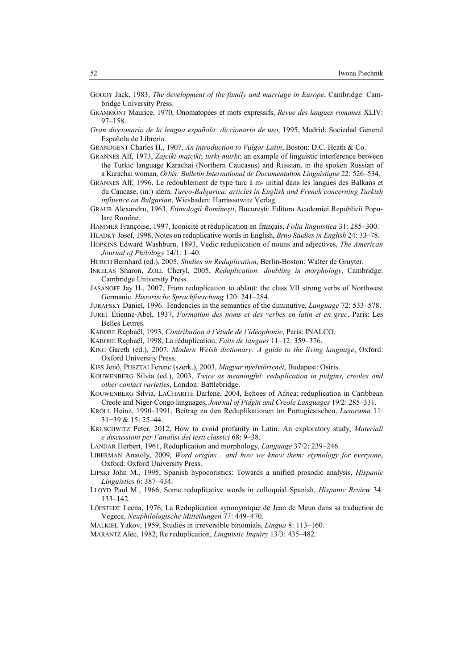- GOODY Jack, 1983, *The development of the family and marriage in Europe*, Cambridge: Cambridge University Press.
- GRAMMONT Maurice, 1970, Onomatopées et mots expressifs, *Revue des langues romanes* XLIV: 97–158.
- *Gran diccionario de la lengua española: diccionario de uso*, 1995, Madrid: Sociedad General Española de Libreria.
- GRANDGENT Charles H., 1907, *An introduction to Vulgar Latin*, Boston: D.C. Heath & Co.
- GRANNES Alf, 1973, *Zajciki-majciki*; *turki-murki*: an example of linguistic interference between the Turkic language Karachai (Northern Caucasus) and Russian, in the spoken Russian of a Karachai woman, *Orbis: Bulletin International de Documentation Linguistique* 22: 526–534.
- GRANNES Alf, 1996, Le redoublement de type turc à m- initial dans les langues des Balkans et du Caucase, (in:) idem, *Turco-Bulgarica: articles in English and French concerning Turkish influence on Bulgarian*, Wiesbaden: Harrassowitz Verlag.
- GRAUR Alexandru, 1963, *Etimologii Romîneşti*, Bucureşti: Editura Academiei Republicii Populare Romîne.
- HAMMER Françoise, 1997, Iconicité et réduplication en français, *Folia linguistica* 31: 285–300.
- HLADKÝ Josef, 1998, Notes on reduplicative words in English, *Brno Studies in English* 24: 33–78. HOPKINS Edward Washburn, 1893, Vedic reduplication of nouns and adjectives, *The American*
- *Journal of Philology* 14/1: 1–40.
- HURCH Bernhard (ed.), 2005, *Studies on Reduplication*, Berlin-Boston: Walter de Gruyter.
- INKELAS Sharon, ZOLL Cheryl, 2005, *Reduplication: doubling in morphology*, Cambridge: Cambridge University Press.
- JASANOFF Jay H., 2007, From reduplication to ablaut: the class VII strong verbs of Northwest Germanic. *Historische Sprachforschung* 120: 241–284.
- JURAFSKY Daniel, 1996. Tendencies in the semantics of the diminutive, *Language* 72: 533–578.
- JURET Étienne-Abel, 1937, *Formation des noms et des verbes en latin et en grec*, Paris: Les Belles Lettres.
- KABORE Raphaël, 1993, *Contribution à l'étude de l'idéophonie*, Paris: INALCO.
- KABORE Raphaël, 1998, La réduplication, *Faits de langues* 11–12: 359–376.
- KING Gareth (ed.), 2007, *Modern Welsh dictionary: A guide to the living language*, Oxford: Oxford University Press.
- KISS Jenő, PUSZTAI Ferenc (szerk.), 2003, *Magyar nyelvtörtenét*, Budapest: Osiris.
- KOUWENBERG Silvia (ed.), 2003, *Twice as meaningful: reduplication in pidgins, creoles and other contact varieties*, London: Battlebridge.
- KOUWENBERG Silvia, LACHARITÉ Darlene, 2004, Echoes of Africa: reduplication in Caribbean Creole and Niger-Congo languages, *Journal of Pidgin and Creole Languages* 19/2: 285–331.
- KRÖLL Heinz, 1990–1991, Beitrag zu den Reduplikationen im Portugiesischen, *Lusorama* 11: 31−39 & 15: 25–44.
- KRUSCHWITZ Peter, 2012, How to avoid profanity in Latin: An exploratory study, *Materiali e discussioni per l'analisi dei testi classici* 68: 9–38.
- LANDAR Herbert, 1961, Reduplication and morphology, *Language* 37/2: 239–246.
- LIBERMAN Anatoly, 2009, *Word origins... and how we know them: etymology for everyone*, Oxford: Oxford University Press.
- LIPSKI John M., 1995, Spanish hypocoristics: Towards a unified prosodic analysis, *Hispanic Linguistics* 6: 387–434.
- LLOYD Paul M., 1966, Some reduplicative words in colloquial Spanish, *Hispanic Review* 34: 133–142.
- LÖFSTEDT Leena, 1976, La Reduplication synonymique de Jean de Meun dans sa traduction de Vegece, *Neuphilologische Mitteilungen* 77: 449-470.

MALKIEL Yakov, 1959, Studies in irreversible binomials, *Lingua* 8: 113–160.

MARANTZ Alec, 1982, Re reduplication, *Linguistic Inquiry* 13/3: 435–482.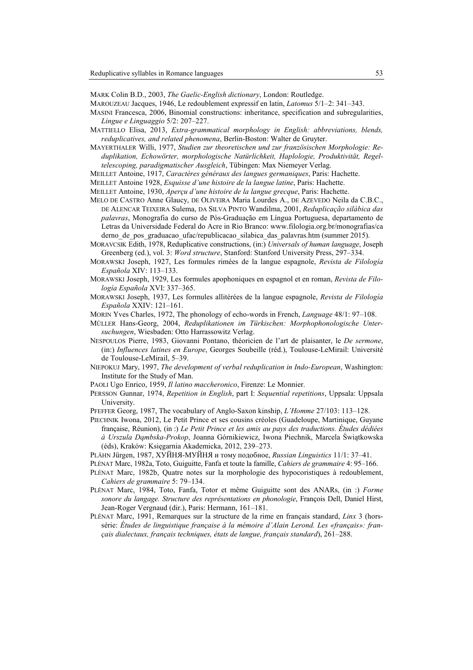MARK Colin B.D., 2003, *The Gaelic-English dictionary*, London: Routledge.

- MAROUZEAU Jacques, 1946, Le redoublement expressif en latin, *Latomus* 5/1–2: 341–343.
- MASINI Francesca, 2006, Binomial constructions: inheritance, specification and subregularities, *Lingue e Linguaggio* 5/2: 207–227.
- MATTIELLO Elisa, 2013, *Extra-grammatical morphology in English: abbreviations, blends, reduplicatives, and related phenomena*, Berlin-Boston: Walter de Gruyter.
- MAYERTHALER Willi, 1977, *Studien zur theoretischen und zur französischen Morphologie: Reduplikation, Echowörter, morphologische atürlichkeit, Haplologie, Produktivität, Regeltelescoping, paradigmatischer Ausgleich*, Tübingen: Max Niemeyer Verlag.
- MEILLET Antoine, 1917, *Caractères généraux des langues germaniques*, Paris: Hachette.
- MEILLET Antoine 1928, *Esquisse d'une histoire de la langue latine*, Paris: Hachette.
- MEILLET Antoine, 1930, *Aperçu d'une histoire de la langue grecque*, Paris: Hachette.
- MELO DE CASTRO Anne Glaucy, DE OLIVEIRA Maria Lourdes A., DE AZEVEDO Neila da C.B.C., DE ALENCAR TEIXEIRA Sulema, DA SILVA PINTO Wandilma, 2001, *Reduplicação silábica das palavras*, Monografia do curso de Pós-Graduação em Língua Portuguesa, departamento de Letras da Universidade Federal do Acre in Rio Branco: www.filologia.org.br/monografias/ca derno de pos graduacao ufac/republicacao silabica das palavras.htm (summer 2015).
- MORAVCSIK Edith, 1978, Reduplicative constructions, (in:) *Universals of human language*, Joseph Greenberg (ed.), vol. 3: *Word structure*, Stanford: Stanford University Press, 297–334.
- MORAWSKI Joseph, 1927, Les formules rimées de la langue espagnole, *Revista de Filología Española* XIV: 113–133.
- MORAWSKI Joseph, 1929, Les formules apophoniques en espagnol et en roman, *Revista de Filología Española* XVI: 337–365.
- MORAWSKI Joseph, 1937, Les formules allitérées de la langue espagnole, *Revista de Filología Española* XXIV: 121–161.
- MORIN Yves Charles, 1972, The phonology of echo-words in French, *Language* 48/1: 97–108.
- MÜLLER Hans-Georg, 2004, *Reduplikationen im Türkischen: Morphophonologische Untersuchungen*, Wiesbaden: Otto Harrassowitz Verlag.
- NESPOULOS Pierre, 1983, Giovanni Pontano, théoricien de l'art de plaisanter, le *De sermone*, (in:) *Influences latines en Europe*, Georges Soubeille (réd.), Toulouse-LeMirail: Université de Toulouse-LeMirail, 5–39.
- NIEPOKUJ Mary, 1997, *The development of verbal reduplication in Indo-European*, Washington: Institute for the Study of Man.
- PAOLI Ugo Enrico, 1959, *Il latino maccheronico*, Firenze: Le Monnier.
- PERSSON Gunnar, 1974, *Repetition in English*, part I: *Sequential repetitions*, Uppsala: Uppsala University.
- PFEFFER Georg, 1987, The vocabulary of Anglo-Saxon kinship, *L'Homme* 27/103: 113–128.
- PIECHNIK Iwona, 2012, Le Petit Prince et ses cousins créoles (Guadeloupe, Martinique, Guyane française, Réunion), (in :) *Le Petit Prince et les amis au pays des traductions. Études dédiées à Urszula Dąmbska-Prokop*, Joanna Górnikiewicz, Iwona Piechnik, Marcela Świątkowska (éds), Kraków: Księgarnia Akademicka, 2012, 239–273.
- PLÄHN Jürgen, 1987, ХУЙНЯ-МУЙНЯ и тому подобное, *Russian Linguistics* 11/1: 37–41.
- PLÉNAT Marc, 1982a, Toto, Guiguitte, Fanfa et toute la famille, *Cahiers de grammaire* 4: 95–166.
- PLÉNAT Marc, 1982b, Quatre notes sur la morphologie des hypocoristiques à redoublement, *Cahiers de grammaire* 5: 79–134.
- PLÉNAT Marc, 1984, Toto, Fanfa, Totor et même Guiguitte sont des ANARs, (in :) *Forme sonore du langage. Structure des représentations en phonologie*, François Dell, Daniel Hirst, Jean-Roger Vergnaud (dir.), Paris: Hermann, 161–181.
- PLÉNAT Marc, 1991, Remarques sur la structure de la rime en français standard, *Linx* 3 (horssérie: *Études de linguistique française à la mémoire d'Alain Lerond. Les «français»: français dialectaux, français techniques, états de langue, français standard*), 261–288.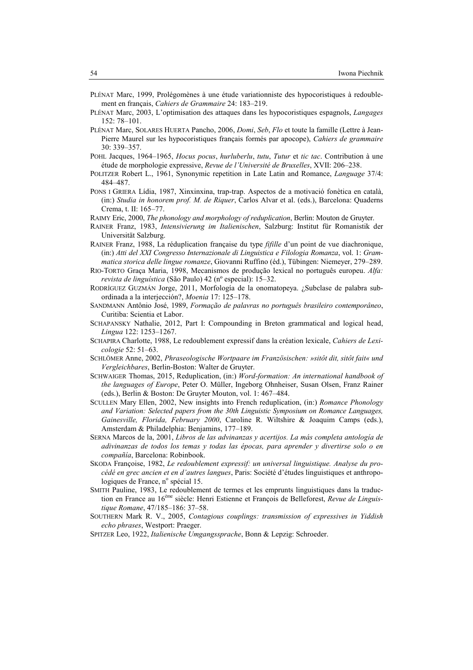- PLÉNAT Marc, 1999, Prolégomènes à une étude variationniste des hypocoristiques à redoublement en français, *Cahiers de Grammaire* 24: 183–219.
- PLÉNAT Marc, 2003, L'optimisation des attaques dans les hypocoristiques espagnols, *Langages* 152: 78–101.
- PLÉNAT Marc, SOLARES HUERTA Pancho, 2006, *Domi*, *Seb*, *Flo* et toute la famille (Lettre à Jean-Pierre Maurel sur les hypocoristiques français formés par apocope), *Cahiers de grammaire* 30: 339–357.
- POHL Jacques, 1964–1965, *Hocus pocus*, *hurluberlu*, *tutu*, *Tutur* et *tic tac*. Contribution à une étude de morphologie expressive, *Revue de l'Université de Bruxelles*, XVII: 206–238.
- POLITZER Robert L., 1961, Synonymic repetition in Late Latin and Romance, *Language* 37/4: 484–487.
- PONS I GRIERA Lídia, 1987, Xinxinxina, trap-trap. Aspectos de a motivació fonètica en català, (in:) *Studia in honorem prof. M. de Riquer*, Carlos Alvar et al. (eds.), Barcelona: Quaderns Crema, t. II: 165–77.
- RAIMY Eric, 2000, *The phonology and morphology of reduplication*, Berlin: Mouton de Gruyter.
- RAINER Franz, 1983, *Intensivierung im Italienischen*, Salzburg: Institut für Romanistik der Universität Salzburg.
- RAINER Franz, 1988, La réduplication française du type *fifille* d'un point de vue diachronique, (in:) *Atti del XXI Congresso Internazionale di Linguistica e Filologia Romanza*, vol. 1: *Grammatica storica delle lingue romanze*, Giovanni Ruffino (éd.), Tübingen: Niemeyer, 279–289.
- RIO-TORTO Graça Maria, 1998, Mecanismos de produção lexical no português europeu. *Alfa: revista de linguística* (São Paulo) 42 (nº especial): 15–32.
- RODRÍGUEZ GUZMÁN Jorge, 2011, Morfología de la onomatopeya. ¿Subclase de palabra subordinada a la interjección?, *Moenia* 17: 125–178.
- SANDMANN Antônio José, 1989, *Formação de palavras no português brasileiro contemporâneo*, Curitiba: Scientia et Labor.
- SCHAPANSKY Nathalie, 2012, Part I: Compounding in Breton grammatical and logical head, *Lingua* 122: 1253–1267.
- SCHAPIRA Charlotte, 1988, Le redoublement expressif dans la création lexicale, *Cahiers de Lexicologie* 52: 51–63.
- SCHLÖMER Anne, 2002, *Phraseologische Wortpaare im Französischen: »sitôt dit, sitôt fait« und Vergleichbares*, Berlin-Boston: Walter de Gruyter.
- SCHWAIGER Thomas, 2015, Reduplication, (in:) *Word-formation: An international handbook of the languages of Europe*, Peter O. Müller, Ingeborg Ohnheiser, Susan Olsen, Franz Rainer (eds.), Berlin & Boston: De Gruyter Mouton, vol. 1: 467–484.
- SCULLEN Mary Ellen, 2002, New insights into French reduplication, (in:) *Romance Phonology and Variation: Selected papers from the 30th Linguistic Symposium on Romance Languages, Gainesville, Florida, February 2000*, Caroline R. Wiltshire & Joaquim Camps (eds.), Amsterdam & Philadelphia: Benjamins, 177–189.
- SERNA Marcos de la, 2001, *Libros de las advinanzas y acertijos. La más completa antología de adivinanzas de todos los temas y todas las épocas, para aprender y divertirse solo o en compañía*, Barcelona: Robinbook.
- SKODA Françoise, 1982, *Le redoublement expressif: un universal linguistique. Analyse du procédé en grec ancien et en d'autres langues*, Paris: Société d'études linguistiques et anthropologiques de France, n° spécial 15.
- SMITH Pauline, 1983, Le redoublement de termes et les emprunts linguistiques dans la traduction en France au 16ème siècle: Henri Estienne et François de Belleforest, *Revue de Linguistique Romane*, 47/185–186: 37–58.
- SOUTHERN Mark R. V., 2005, *Contagious couplings: transmission of expressives in Yiddish echo phrases*, Westport: Praeger.
- SPITZER Leo, 1922, *Italienische Umgangssprache*, Bonn & Lepzig: Schroeder.